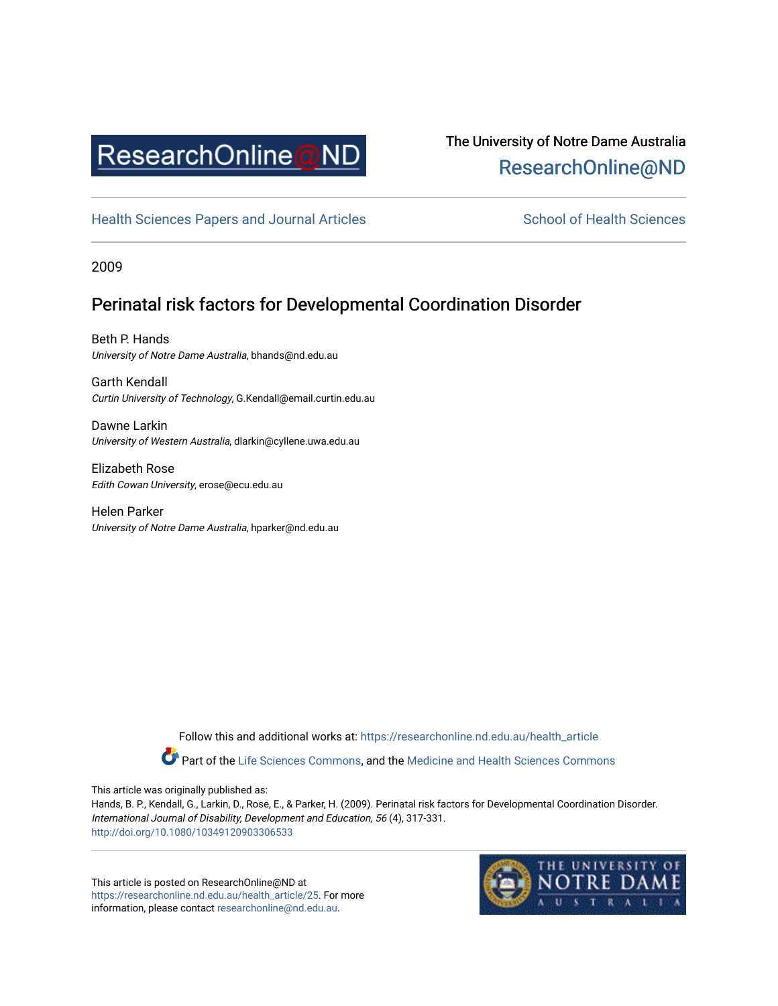

## The University of Notre Dame Australia [ResearchOnline@ND](https://researchonline.nd.edu.au/)

[Health Sciences Papers and Journal Articles](https://researchonline.nd.edu.au/health_article) School of Health Sciences

2009

### Perinatal risk factors for Developmental Coordination Disorder

Beth P. Hands University of Notre Dame Australia, bhands@nd.edu.au

Garth Kendall Curtin University of Technology, G.Kendall@email.curtin.edu.au

Dawne Larkin University of Western Australia, dlarkin@cyllene.uwa.edu.au

Elizabeth Rose Edith Cowan University, erose@ecu.edu.au

Helen Parker University of Notre Dame Australia, hparker@nd.edu.au

> Follow this and additional works at: [https://researchonline.nd.edu.au/health\\_article](https://researchonline.nd.edu.au/health_article?utm_source=researchonline.nd.edu.au%2Fhealth_article%2F25&utm_medium=PDF&utm_campaign=PDFCoverPages) Part of the [Life Sciences Commons](http://network.bepress.com/hgg/discipline/1016?utm_source=researchonline.nd.edu.au%2Fhealth_article%2F25&utm_medium=PDF&utm_campaign=PDFCoverPages), and the Medicine and Health Sciences Commons

This article was originally published as:

Hands, B. P., Kendall, G., Larkin, D., Rose, E., & Parker, H. (2009). Perinatal risk factors for Developmental Coordination Disorder. International Journal of Disability, Development and Education, 56 (4), 317-331. <http://doi.org/10.1080/10349120903306533>

This article is posted on ResearchOnline@ND at [https://researchonline.nd.edu.au/health\\_article/25.](https://researchonline.nd.edu.au/health_article/25) For more information, please contact [researchonline@nd.edu.au.](mailto:researchonline@nd.edu.au)

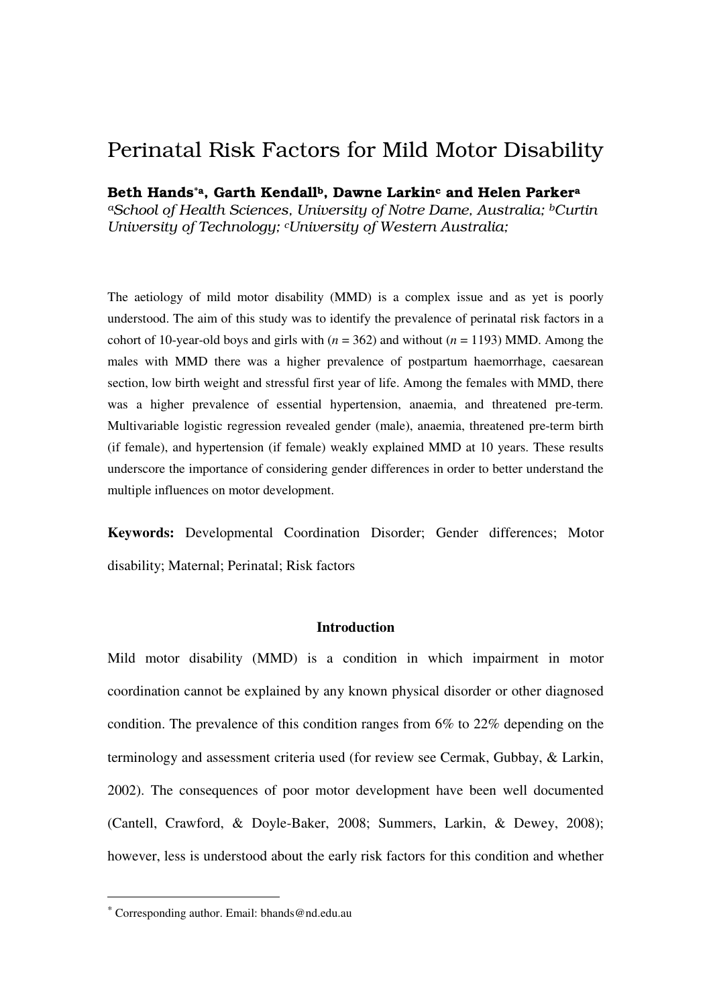# Perinatal Risk Factors for Mild Motor Disability

Beth Hands<sup>\*a</sup>, Garth Kendall<sup>b</sup>, Dawne Larkin<sup>c</sup> and Helen Parker<sup>a</sup> *<sup>a</sup>School of Health Sciences, University of Notre Dame, Australia; bCurtin University of Technology; cUniversity of Western Australia;* 

The aetiology of mild motor disability (MMD) is a complex issue and as yet is poorly understood. The aim of this study was to identify the prevalence of perinatal risk factors in a cohort of 10-year-old boys and girls with  $(n = 362)$  and without  $(n = 1193)$  MMD. Among the males with MMD there was a higher prevalence of postpartum haemorrhage, caesarean section, low birth weight and stressful first year of life. Among the females with MMD, there was a higher prevalence of essential hypertension, anaemia, and threatened pre-term. Multivariable logistic regression revealed gender (male), anaemia, threatened pre-term birth (if female), and hypertension (if female) weakly explained MMD at 10 years. These results underscore the importance of considering gender differences in order to better understand the multiple influences on motor development.

**Keywords:** Developmental Coordination Disorder; Gender differences; Motor disability; Maternal; Perinatal; Risk factors

#### **Introduction**

Mild motor disability (MMD) is a condition in which impairment in motor coordination cannot be explained by any known physical disorder or other diagnosed condition. The prevalence of this condition ranges from 6% to 22% depending on the terminology and assessment criteria used (for review see Cermak, Gubbay, & Larkin, 2002). The consequences of poor motor development have been well documented (Cantell, Crawford, & Doyle-Baker, 2008; Summers, Larkin, & Dewey, 2008); however, less is understood about the early risk factors for this condition and whether

 $\overline{a}$ 

<sup>\*</sup> Corresponding author. Email: bhands@nd.edu.au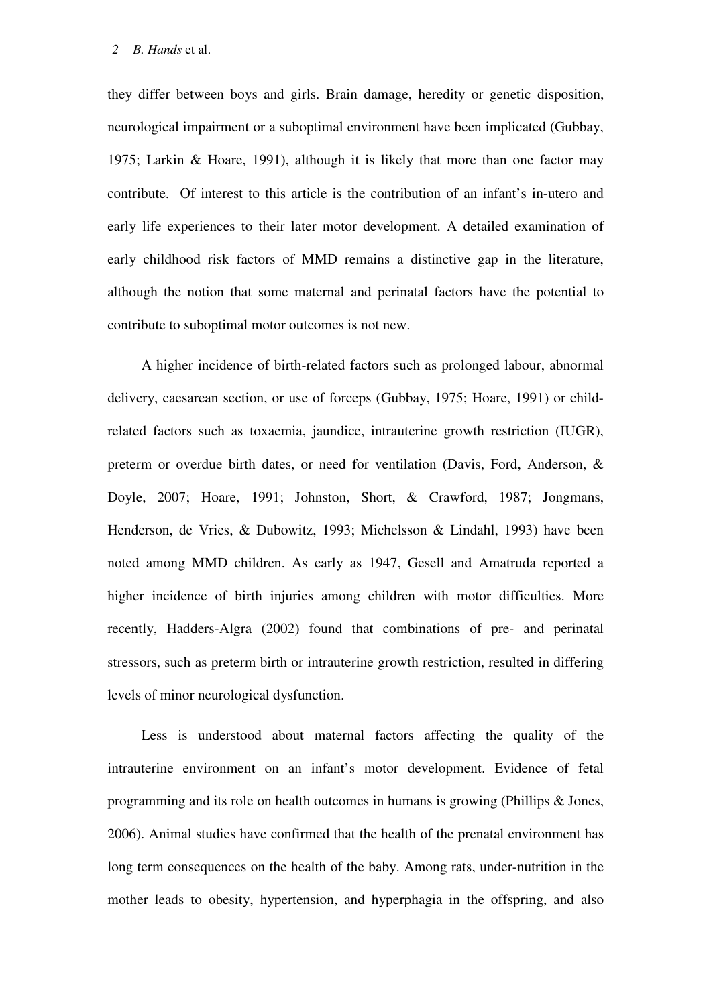they differ between boys and girls. Brain damage, heredity or genetic disposition, neurological impairment or a suboptimal environment have been implicated (Gubbay, 1975; Larkin & Hoare, 1991), although it is likely that more than one factor may contribute. Of interest to this article is the contribution of an infant's in-utero and early life experiences to their later motor development. A detailed examination of early childhood risk factors of MMD remains a distinctive gap in the literature, although the notion that some maternal and perinatal factors have the potential to contribute to suboptimal motor outcomes is not new.

A higher incidence of birth-related factors such as prolonged labour, abnormal delivery, caesarean section, or use of forceps (Gubbay, 1975; Hoare, 1991) or childrelated factors such as toxaemia, jaundice, intrauterine growth restriction (IUGR), preterm or overdue birth dates, or need for ventilation (Davis, Ford, Anderson, & Doyle, 2007; Hoare, 1991; Johnston, Short, & Crawford, 1987; Jongmans, Henderson, de Vries, & Dubowitz, 1993; Michelsson & Lindahl, 1993) have been noted among MMD children. As early as 1947, Gesell and Amatruda reported a higher incidence of birth injuries among children with motor difficulties. More recently, Hadders-Algra (2002) found that combinations of pre- and perinatal stressors, such as preterm birth or intrauterine growth restriction, resulted in differing levels of minor neurological dysfunction.

Less is understood about maternal factors affecting the quality of the intrauterine environment on an infant's motor development. Evidence of fetal programming and its role on health outcomes in humans is growing (Phillips & Jones, 2006). Animal studies have confirmed that the health of the prenatal environment has long term consequences on the health of the baby. Among rats, under-nutrition in the mother leads to obesity, hypertension, and hyperphagia in the offspring, and also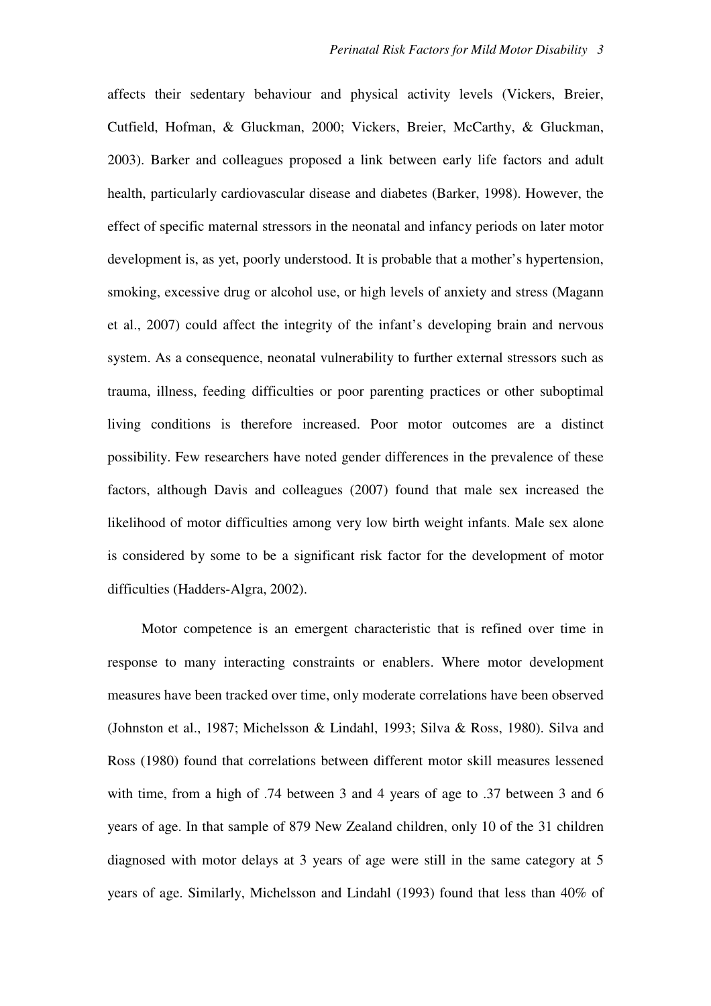affects their sedentary behaviour and physical activity levels (Vickers, Breier, Cutfield, Hofman, & Gluckman, 2000; Vickers, Breier, McCarthy, & Gluckman, 2003). Barker and colleagues proposed a link between early life factors and adult health, particularly cardiovascular disease and diabetes (Barker, 1998). However, the effect of specific maternal stressors in the neonatal and infancy periods on later motor development is, as yet, poorly understood. It is probable that a mother's hypertension, smoking, excessive drug or alcohol use, or high levels of anxiety and stress (Magann et al., 2007) could affect the integrity of the infant's developing brain and nervous system. As a consequence, neonatal vulnerability to further external stressors such as trauma, illness, feeding difficulties or poor parenting practices or other suboptimal living conditions is therefore increased. Poor motor outcomes are a distinct possibility. Few researchers have noted gender differences in the prevalence of these factors, although Davis and colleagues (2007) found that male sex increased the likelihood of motor difficulties among very low birth weight infants. Male sex alone is considered by some to be a significant risk factor for the development of motor difficulties (Hadders-Algra, 2002).

Motor competence is an emergent characteristic that is refined over time in response to many interacting constraints or enablers. Where motor development measures have been tracked over time, only moderate correlations have been observed (Johnston et al., 1987; Michelsson & Lindahl, 1993; Silva & Ross, 1980). Silva and Ross (1980) found that correlations between different motor skill measures lessened with time, from a high of .74 between 3 and 4 years of age to .37 between 3 and 6 years of age. In that sample of 879 New Zealand children, only 10 of the 31 children diagnosed with motor delays at 3 years of age were still in the same category at 5 years of age. Similarly, Michelsson and Lindahl (1993) found that less than 40% of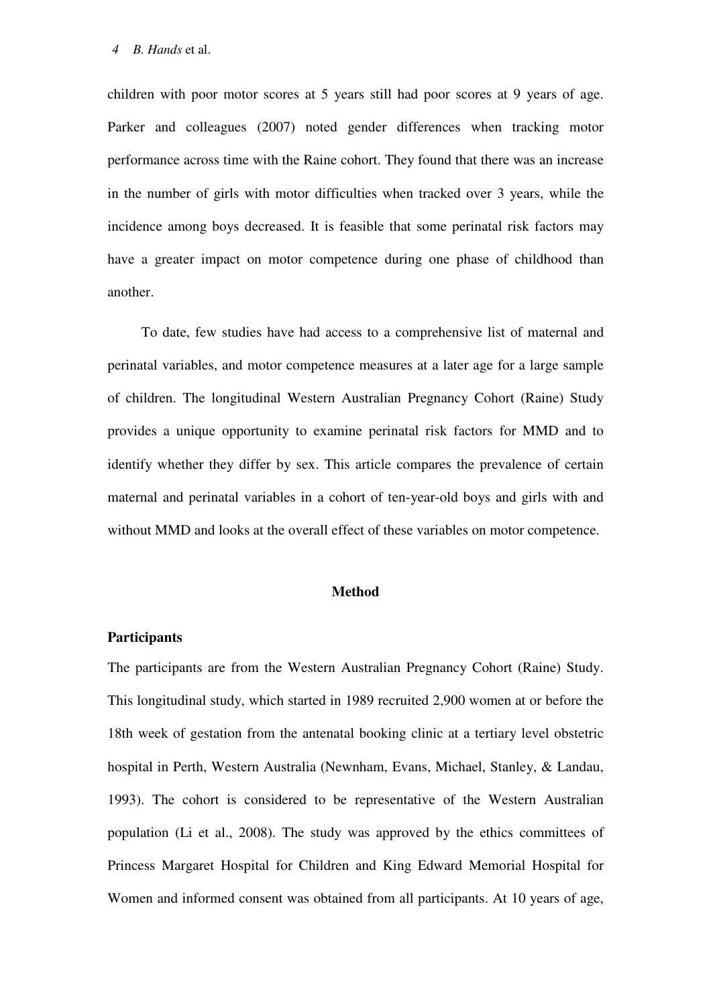children with poor motor scores at 5 years still had poor scores at 9 years of age. Parker and colleagues (2007) noted gender differences when tracking motor performance across time with the Raine cohort. They found that there was an increase in the number of girls with motor difficulties when tracked over 3 years, while the incidence among boys decreased. It is feasible that some perinatal risk factors may have a greater impact on motor competence during one phase of childhood than another.

To date, few studies have had access to a comprehensive list of maternal and perinatal variables, and motor competence measures at a later age for a large sample of children. The longitudinal Western Australian Pregnancy Cohort (Raine) Study provides a unique opportunity to examine perinatal risk factors for MMD and to identify whether they differ by sex. This article compares the prevalence of certain maternal and perinatal variables in a cohort of ten-year-old boys and girls with and without MMD and looks at the overall effect of these variables on motor competence.

#### **Method**

#### **Participants**

The participants are from the Western Australian Pregnancy Cohort (Raine) Study. This longitudinal study, which started in 1989 recruited 2,900 women at or before the 18th week of gestation from the antenatal booking clinic at a tertiary level obstetric hospital in Perth, Western Australia (Newnham, Evans, Michael, Stanley, & Landau, 1993). The cohort is considered to be representative of the Western Australian population (Li et al., 2008). The study was approved by the ethics committees of Princess Margaret Hospital for Children and King Edward Memorial Hospital for Women and informed consent was obtained from all participants. At 10 years of age,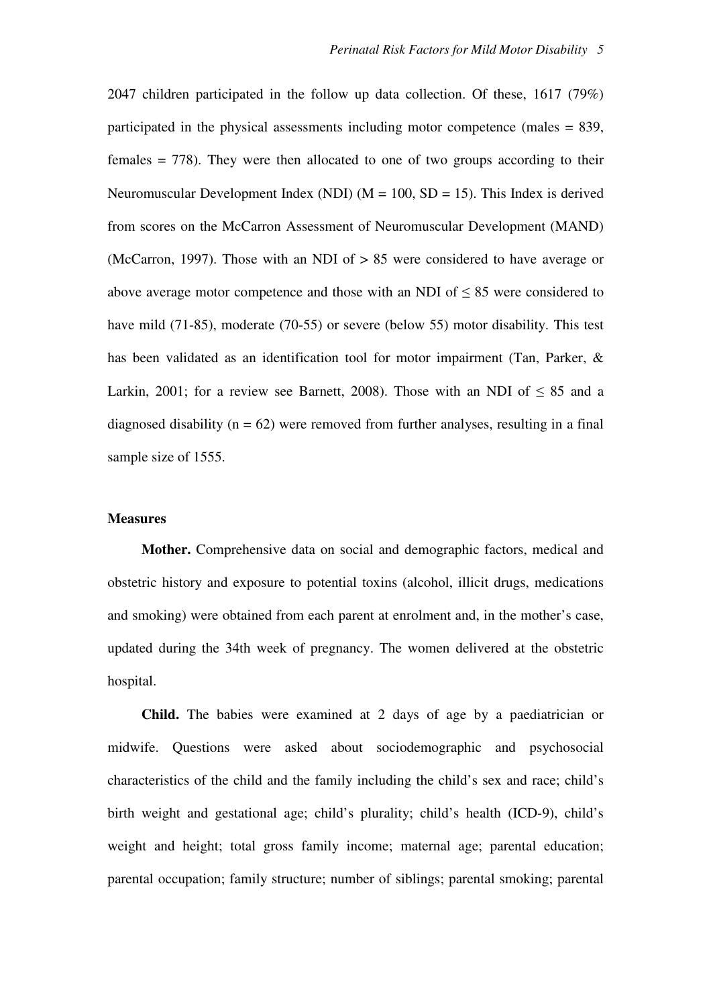2047 children participated in the follow up data collection. Of these, 1617 (79%) participated in the physical assessments including motor competence (males  $= 839$ , females = 778). They were then allocated to one of two groups according to their Neuromuscular Development Index (NDI) ( $M = 100$ , SD = 15). This Index is derived from scores on the McCarron Assessment of Neuromuscular Development (MAND) (McCarron, 1997). Those with an NDI of > 85 were considered to have average or above average motor competence and those with an NDI of  $\leq 85$  were considered to have mild (71-85), moderate (70-55) or severe (below 55) motor disability. This test has been validated as an identification tool for motor impairment (Tan, Parker, & Larkin, 2001; for a review see Barnett, 2008). Those with an NDI of  $\leq 85$  and a diagnosed disability ( $n = 62$ ) were removed from further analyses, resulting in a final sample size of 1555.

#### **Measures**

**Mother.** Comprehensive data on social and demographic factors, medical and obstetric history and exposure to potential toxins (alcohol, illicit drugs, medications and smoking) were obtained from each parent at enrolment and, in the mother's case, updated during the 34th week of pregnancy. The women delivered at the obstetric hospital.

**Child.** The babies were examined at 2 days of age by a paediatrician or midwife. Questions were asked about sociodemographic and psychosocial characteristics of the child and the family including the child's sex and race; child's birth weight and gestational age; child's plurality; child's health (ICD-9), child's weight and height; total gross family income; maternal age; parental education; parental occupation; family structure; number of siblings; parental smoking; parental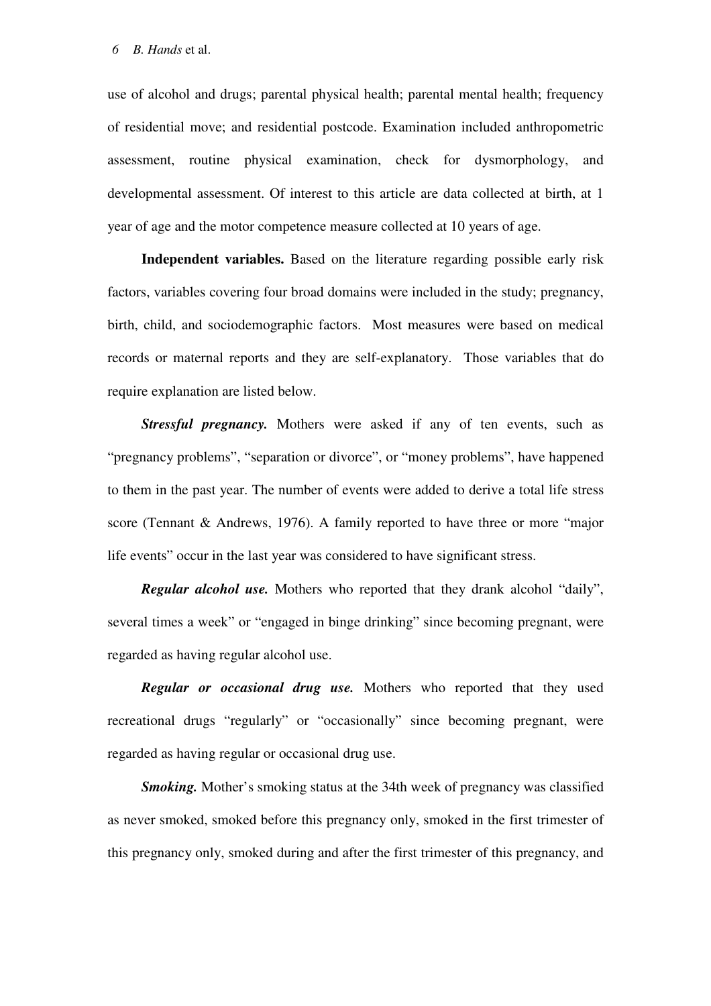use of alcohol and drugs; parental physical health; parental mental health; frequency of residential move; and residential postcode. Examination included anthropometric assessment, routine physical examination, check for dysmorphology, and developmental assessment. Of interest to this article are data collected at birth, at 1 year of age and the motor competence measure collected at 10 years of age.

**Independent variables.** Based on the literature regarding possible early risk factors, variables covering four broad domains were included in the study; pregnancy, birth, child, and sociodemographic factors. Most measures were based on medical records or maternal reports and they are self-explanatory. Those variables that do require explanation are listed below.

*Stressful pregnancy.* Mothers were asked if any of ten events, such as "pregnancy problems", "separation or divorce", or "money problems", have happened to them in the past year. The number of events were added to derive a total life stress score (Tennant & Andrews, 1976). A family reported to have three or more "major life events" occur in the last year was considered to have significant stress.

*Regular alcohol use.* Mothers who reported that they drank alcohol "daily", several times a week" or "engaged in binge drinking" since becoming pregnant, were regarded as having regular alcohol use.

*Regular or occasional drug use.* Mothers who reported that they used recreational drugs "regularly" or "occasionally" since becoming pregnant, were regarded as having regular or occasional drug use.

*Smoking.* Mother's smoking status at the 34th week of pregnancy was classified as never smoked, smoked before this pregnancy only, smoked in the first trimester of this pregnancy only, smoked during and after the first trimester of this pregnancy, and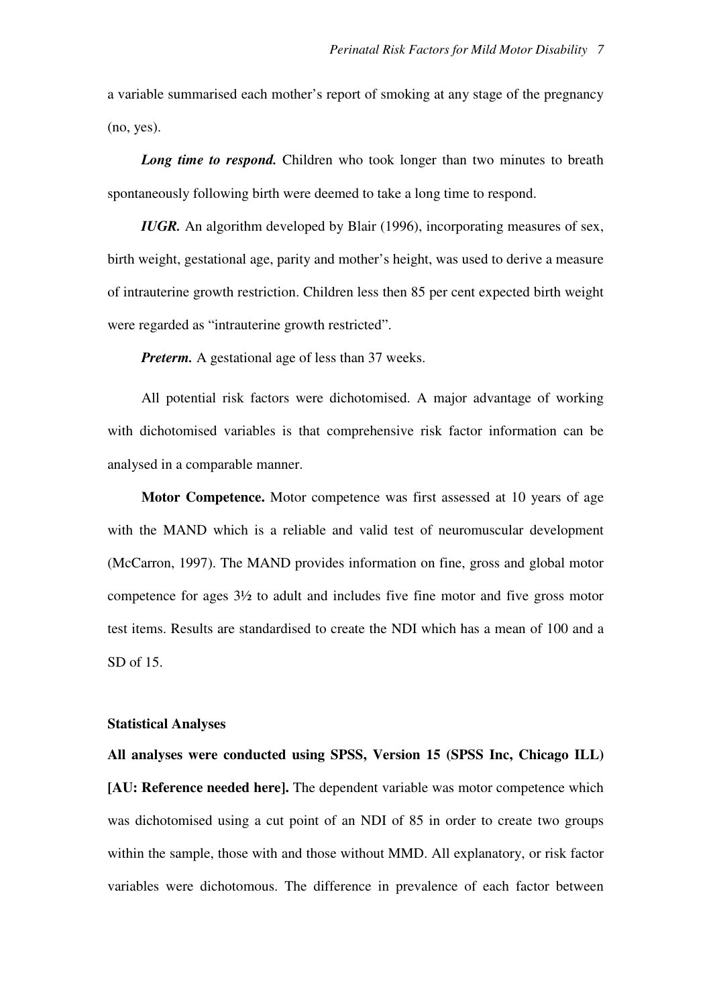a variable summarised each mother's report of smoking at any stage of the pregnancy (no, yes).

*Long time to respond.* Children who took longer than two minutes to breath spontaneously following birth were deemed to take a long time to respond.

*IUGR.* An algorithm developed by Blair (1996), incorporating measures of sex, birth weight, gestational age, parity and mother's height, was used to derive a measure of intrauterine growth restriction. Children less then 85 per cent expected birth weight were regarded as "intrauterine growth restricted".

*Preterm.* A gestational age of less than 37 weeks.

All potential risk factors were dichotomised. A major advantage of working with dichotomised variables is that comprehensive risk factor information can be analysed in a comparable manner.

**Motor Competence.** Motor competence was first assessed at 10 years of age with the MAND which is a reliable and valid test of neuromuscular development (McCarron, 1997). The MAND provides information on fine, gross and global motor competence for ages 3½ to adult and includes five fine motor and five gross motor test items. Results are standardised to create the NDI which has a mean of 100 and a SD of 15.

#### **Statistical Analyses**

**All analyses were conducted using SPSS, Version 15 (SPSS Inc, Chicago ILL) [AU: Reference needed here].** The dependent variable was motor competence which was dichotomised using a cut point of an NDI of 85 in order to create two groups within the sample, those with and those without MMD. All explanatory, or risk factor variables were dichotomous. The difference in prevalence of each factor between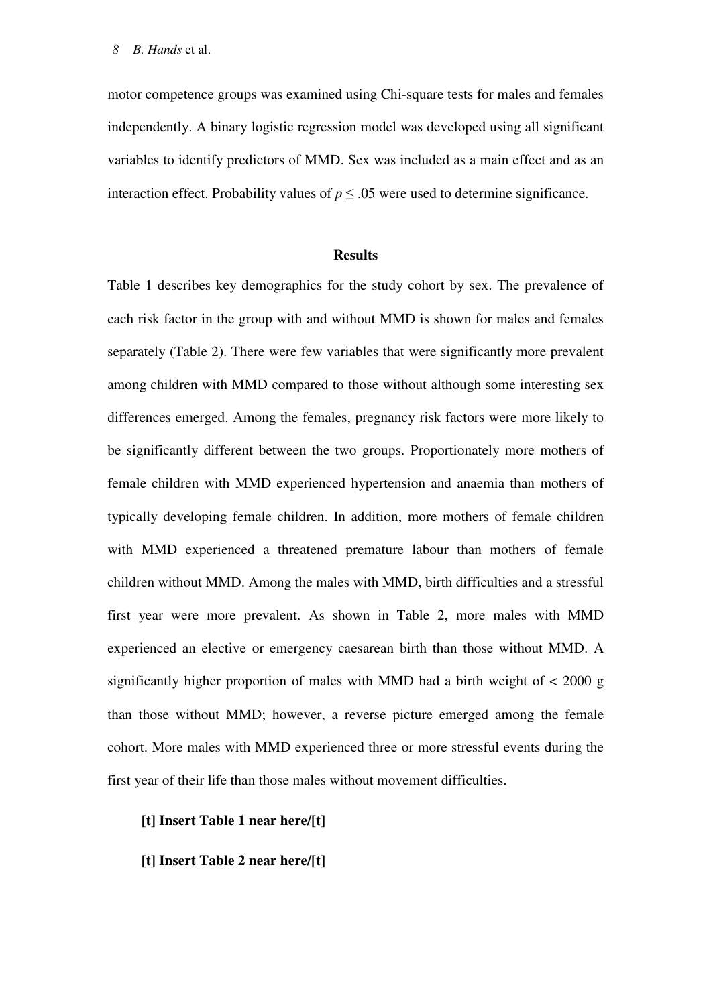motor competence groups was examined using Chi-square tests for males and females independently. A binary logistic regression model was developed using all significant variables to identify predictors of MMD. Sex was included as a main effect and as an interaction effect. Probability values of  $p \le 0.05$  were used to determine significance.

#### **Results**

Table 1 describes key demographics for the study cohort by sex. The prevalence of each risk factor in the group with and without MMD is shown for males and females separately (Table 2). There were few variables that were significantly more prevalent among children with MMD compared to those without although some interesting sex differences emerged. Among the females, pregnancy risk factors were more likely to be significantly different between the two groups. Proportionately more mothers of female children with MMD experienced hypertension and anaemia than mothers of typically developing female children. In addition, more mothers of female children with MMD experienced a threatened premature labour than mothers of female children without MMD. Among the males with MMD, birth difficulties and a stressful first year were more prevalent. As shown in Table 2, more males with MMD experienced an elective or emergency caesarean birth than those without MMD. A significantly higher proportion of males with MMD had a birth weight of  $\lt$  2000 g than those without MMD; however, a reverse picture emerged among the female cohort. More males with MMD experienced three or more stressful events during the first year of their life than those males without movement difficulties.

- **[t] Insert Table 1 near here/[t]**
- **[t] Insert Table 2 near here/[t]**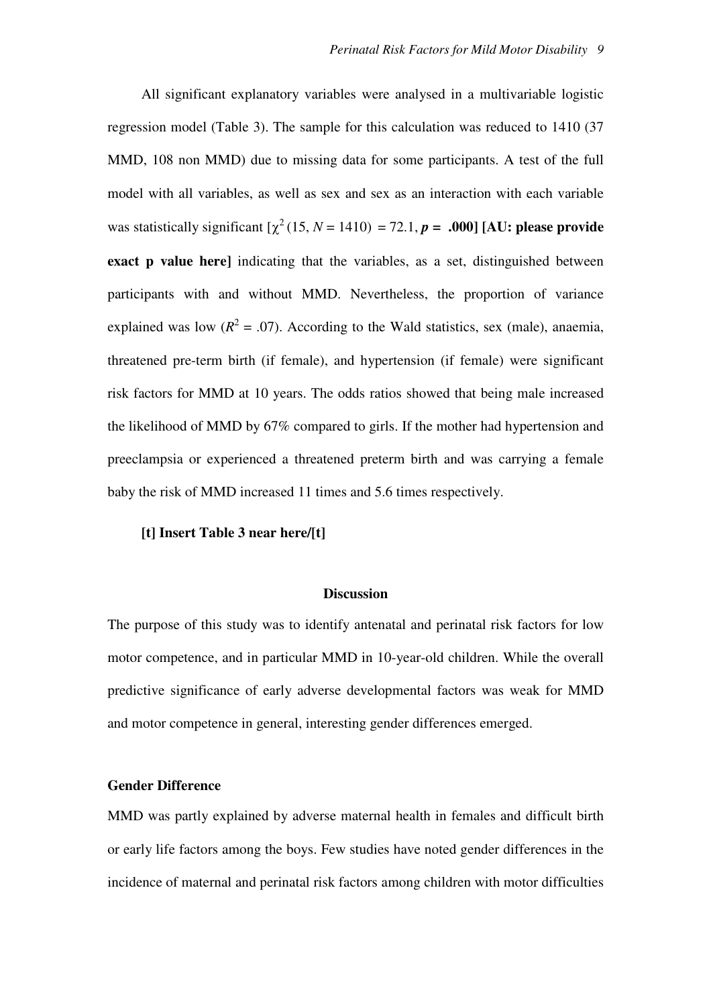All significant explanatory variables were analysed in a multivariable logistic regression model (Table 3). The sample for this calculation was reduced to 1410 (37 MMD, 108 non MMD) due to missing data for some participants. A test of the full model with all variables, as well as sex and sex as an interaction with each variable was statistically significant  $[\chi^2(15, N = 1410) = 72.1, p = .000]$  [AU: please provide **exact p value here** indicating that the variables, as a set, distinguished between participants with and without MMD. Nevertheless, the proportion of variance explained was low  $(R^2 = .07)$ . According to the Wald statistics, sex (male), anaemia, threatened pre-term birth (if female), and hypertension (if female) were significant risk factors for MMD at 10 years. The odds ratios showed that being male increased the likelihood of MMD by 67% compared to girls. If the mother had hypertension and preeclampsia or experienced a threatened preterm birth and was carrying a female baby the risk of MMD increased 11 times and 5.6 times respectively.

#### **[t] Insert Table 3 near here/[t]**

#### **Discussion**

The purpose of this study was to identify antenatal and perinatal risk factors for low motor competence, and in particular MMD in 10-year-old children. While the overall predictive significance of early adverse developmental factors was weak for MMD and motor competence in general, interesting gender differences emerged.

#### **Gender Difference**

MMD was partly explained by adverse maternal health in females and difficult birth or early life factors among the boys. Few studies have noted gender differences in the incidence of maternal and perinatal risk factors among children with motor difficulties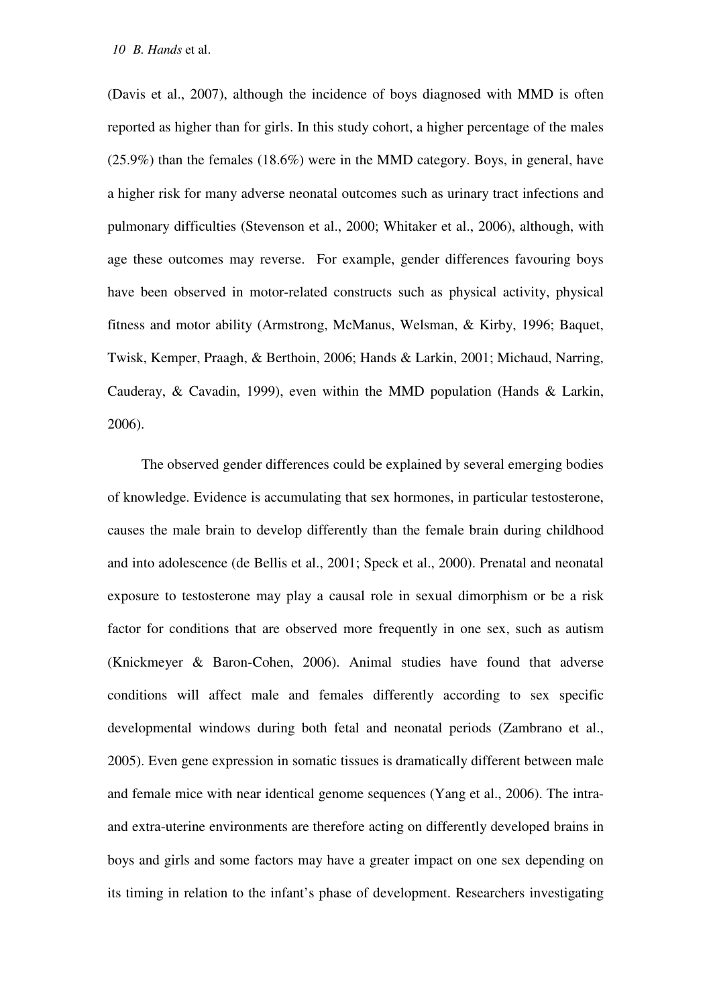(Davis et al., 2007), although the incidence of boys diagnosed with MMD is often reported as higher than for girls. In this study cohort, a higher percentage of the males (25.9%) than the females (18.6%) were in the MMD category. Boys, in general, have a higher risk for many adverse neonatal outcomes such as urinary tract infections and pulmonary difficulties (Stevenson et al., 2000; Whitaker et al., 2006), although, with age these outcomes may reverse. For example, gender differences favouring boys have been observed in motor-related constructs such as physical activity, physical fitness and motor ability (Armstrong, McManus, Welsman, & Kirby, 1996; Baquet, Twisk, Kemper, Praagh, & Berthoin, 2006; Hands & Larkin, 2001; Michaud, Narring, Cauderay, & Cavadin, 1999), even within the MMD population (Hands & Larkin, 2006).

The observed gender differences could be explained by several emerging bodies of knowledge. Evidence is accumulating that sex hormones, in particular testosterone, causes the male brain to develop differently than the female brain during childhood and into adolescence (de Bellis et al., 2001; Speck et al., 2000). Prenatal and neonatal exposure to testosterone may play a causal role in sexual dimorphism or be a risk factor for conditions that are observed more frequently in one sex, such as autism (Knickmeyer & Baron-Cohen, 2006). Animal studies have found that adverse conditions will affect male and females differently according to sex specific developmental windows during both fetal and neonatal periods (Zambrano et al., 2005). Even gene expression in somatic tissues is dramatically different between male and female mice with near identical genome sequences (Yang et al., 2006). The intraand extra-uterine environments are therefore acting on differently developed brains in boys and girls and some factors may have a greater impact on one sex depending on its timing in relation to the infant's phase of development. Researchers investigating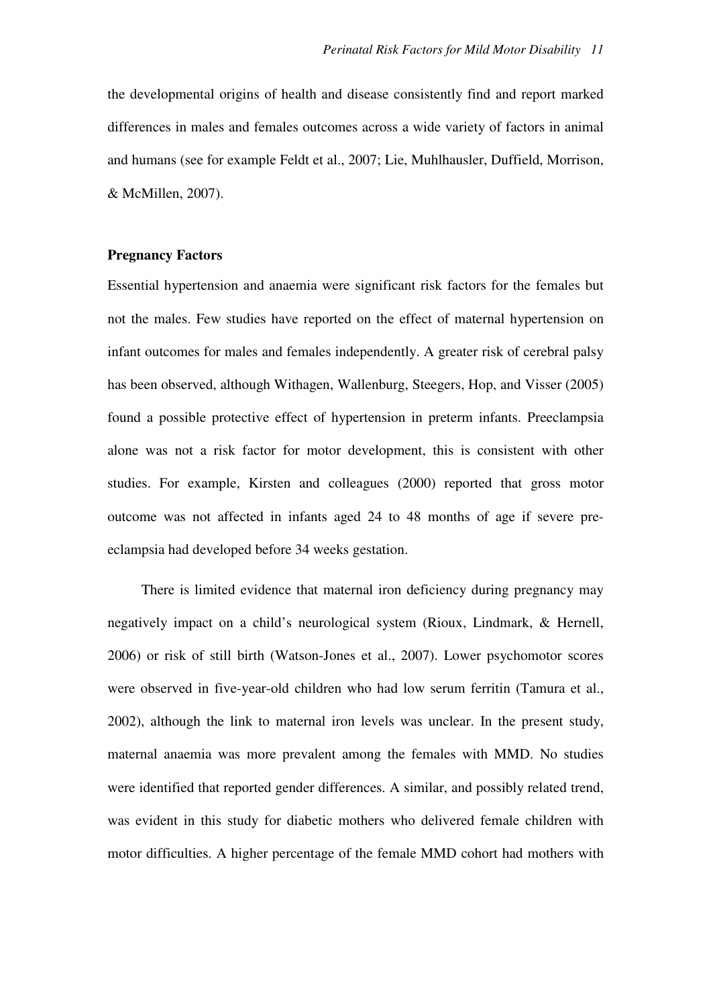the developmental origins of health and disease consistently find and report marked differences in males and females outcomes across a wide variety of factors in animal and humans (see for example Feldt et al., 2007; Lie, Muhlhausler, Duffield, Morrison, & McMillen, 2007).

#### **Pregnancy Factors**

Essential hypertension and anaemia were significant risk factors for the females but not the males. Few studies have reported on the effect of maternal hypertension on infant outcomes for males and females independently. A greater risk of cerebral palsy has been observed, although Withagen, Wallenburg, Steegers, Hop, and Visser (2005) found a possible protective effect of hypertension in preterm infants. Preeclampsia alone was not a risk factor for motor development, this is consistent with other studies. For example, Kirsten and colleagues (2000) reported that gross motor outcome was not affected in infants aged 24 to 48 months of age if severe preeclampsia had developed before 34 weeks gestation.

There is limited evidence that maternal iron deficiency during pregnancy may negatively impact on a child's neurological system (Rioux, Lindmark, & Hernell, 2006) or risk of still birth (Watson-Jones et al., 2007). Lower psychomotor scores were observed in five-year-old children who had low serum ferritin (Tamura et al., 2002), although the link to maternal iron levels was unclear. In the present study, maternal anaemia was more prevalent among the females with MMD. No studies were identified that reported gender differences. A similar, and possibly related trend, was evident in this study for diabetic mothers who delivered female children with motor difficulties. A higher percentage of the female MMD cohort had mothers with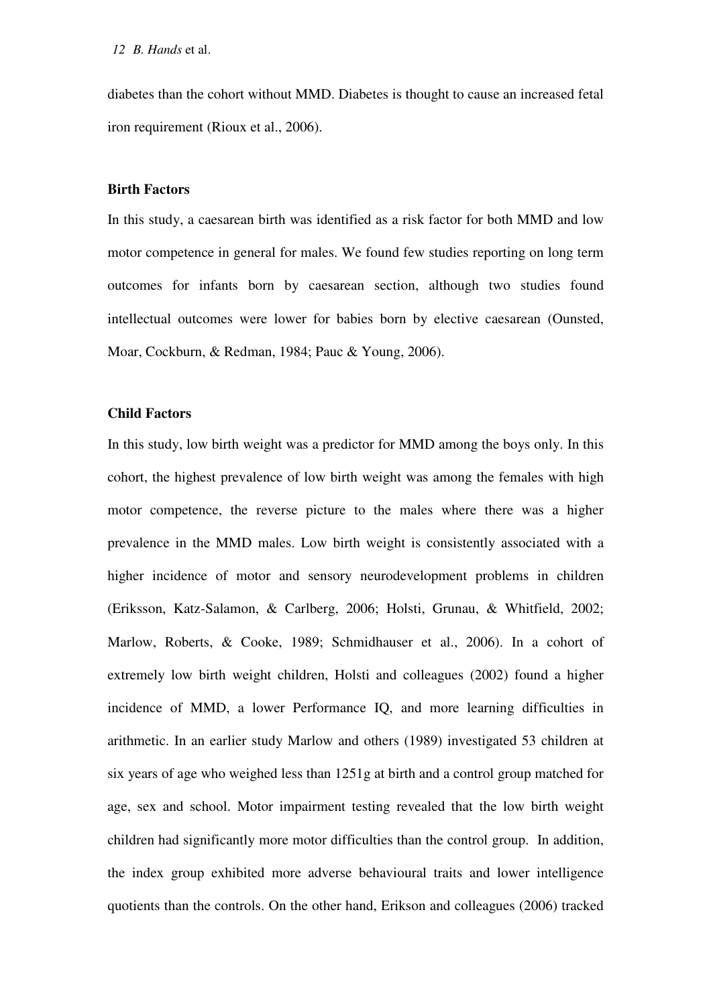diabetes than the cohort without MMD. Diabetes is thought to cause an increased fetal iron requirement (Rioux et al., 2006).

#### **Birth Factors**

In this study, a caesarean birth was identified as a risk factor for both MMD and low motor competence in general for males. We found few studies reporting on long term outcomes for infants born by caesarean section, although two studies found intellectual outcomes were lower for babies born by elective caesarean (Ounsted, Moar, Cockburn, & Redman, 1984; Pauc & Young, 2006).

#### **Child Factors**

In this study, low birth weight was a predictor for MMD among the boys only. In this cohort, the highest prevalence of low birth weight was among the females with high motor competence, the reverse picture to the males where there was a higher prevalence in the MMD males. Low birth weight is consistently associated with a higher incidence of motor and sensory neurodevelopment problems in children (Eriksson, Katz-Salamon, & Carlberg, 2006; Holsti, Grunau, & Whitfield, 2002; Marlow, Roberts, & Cooke, 1989; Schmidhauser et al., 2006). In a cohort of extremely low birth weight children, Holsti and colleagues (2002) found a higher incidence of MMD, a lower Performance IQ, and more learning difficulties in arithmetic. In an earlier study Marlow and others (1989) investigated 53 children at six years of age who weighed less than 1251g at birth and a control group matched for age, sex and school. Motor impairment testing revealed that the low birth weight children had significantly more motor difficulties than the control group. In addition, the index group exhibited more adverse behavioural traits and lower intelligence quotients than the controls. On the other hand, Erikson and colleagues (2006) tracked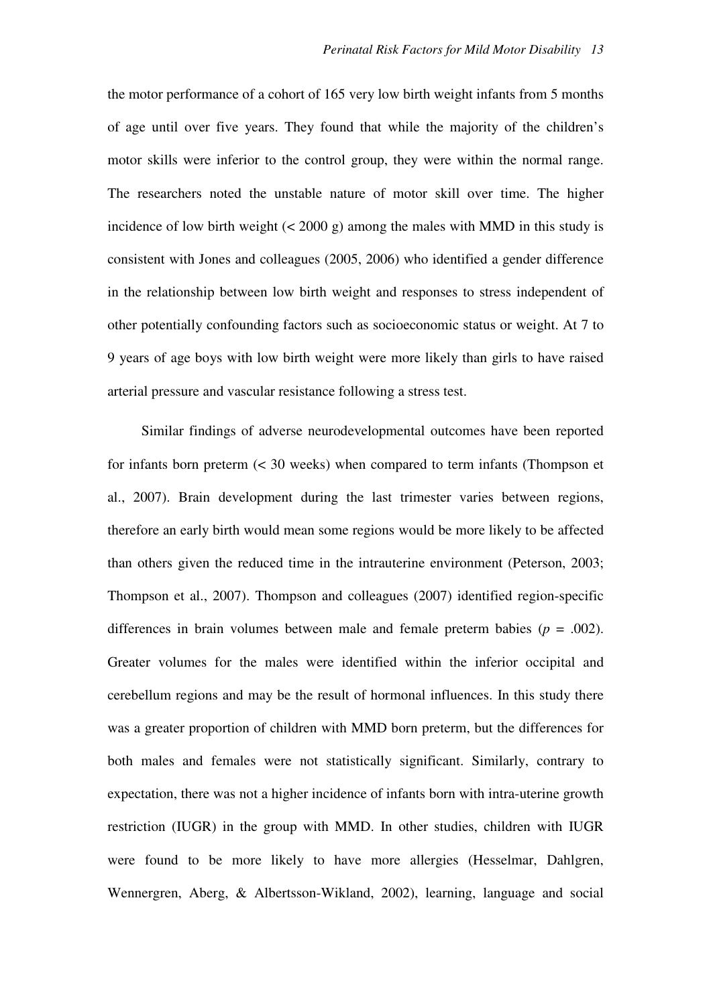the motor performance of a cohort of 165 very low birth weight infants from 5 months of age until over five years. They found that while the majority of the children's motor skills were inferior to the control group, they were within the normal range. The researchers noted the unstable nature of motor skill over time. The higher incidence of low birth weight (< 2000 g) among the males with MMD in this study is consistent with Jones and colleagues (2005, 2006) who identified a gender difference in the relationship between low birth weight and responses to stress independent of other potentially confounding factors such as socioeconomic status or weight. At 7 to 9 years of age boys with low birth weight were more likely than girls to have raised arterial pressure and vascular resistance following a stress test.

Similar findings of adverse neurodevelopmental outcomes have been reported for infants born preterm (< 30 weeks) when compared to term infants (Thompson et al., 2007). Brain development during the last trimester varies between regions, therefore an early birth would mean some regions would be more likely to be affected than others given the reduced time in the intrauterine environment (Peterson, 2003; Thompson et al., 2007). Thompson and colleagues (2007) identified region-specific differences in brain volumes between male and female preterm babies  $(p = .002)$ . Greater volumes for the males were identified within the inferior occipital and cerebellum regions and may be the result of hormonal influences. In this study there was a greater proportion of children with MMD born preterm, but the differences for both males and females were not statistically significant. Similarly, contrary to expectation, there was not a higher incidence of infants born with intra-uterine growth restriction (IUGR) in the group with MMD. In other studies, children with IUGR were found to be more likely to have more allergies (Hesselmar, Dahlgren, Wennergren, Aberg, & Albertsson-Wikland, 2002), learning, language and social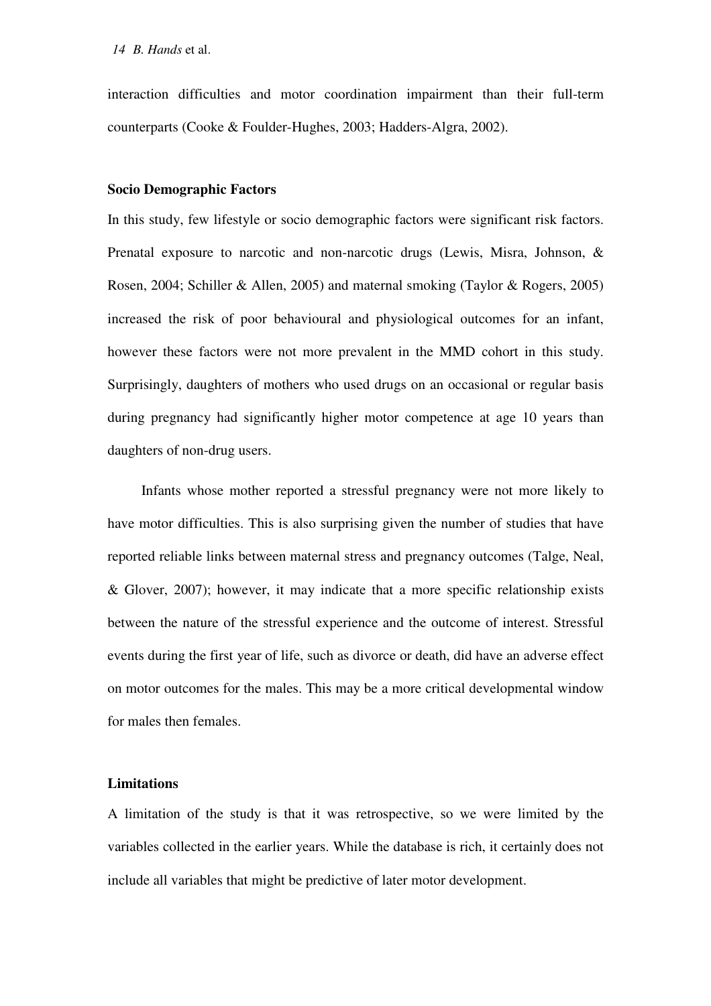interaction difficulties and motor coordination impairment than their full-term counterparts (Cooke & Foulder-Hughes, 2003; Hadders-Algra, 2002).

#### **Socio Demographic Factors**

In this study, few lifestyle or socio demographic factors were significant risk factors. Prenatal exposure to narcotic and non-narcotic drugs (Lewis, Misra, Johnson, & Rosen, 2004; Schiller & Allen, 2005) and maternal smoking (Taylor & Rogers, 2005) increased the risk of poor behavioural and physiological outcomes for an infant, however these factors were not more prevalent in the MMD cohort in this study. Surprisingly, daughters of mothers who used drugs on an occasional or regular basis during pregnancy had significantly higher motor competence at age 10 years than daughters of non-drug users.

Infants whose mother reported a stressful pregnancy were not more likely to have motor difficulties. This is also surprising given the number of studies that have reported reliable links between maternal stress and pregnancy outcomes (Talge, Neal, & Glover, 2007); however, it may indicate that a more specific relationship exists between the nature of the stressful experience and the outcome of interest. Stressful events during the first year of life, such as divorce or death, did have an adverse effect on motor outcomes for the males. This may be a more critical developmental window for males then females.

#### **Limitations**

A limitation of the study is that it was retrospective, so we were limited by the variables collected in the earlier years. While the database is rich, it certainly does not include all variables that might be predictive of later motor development.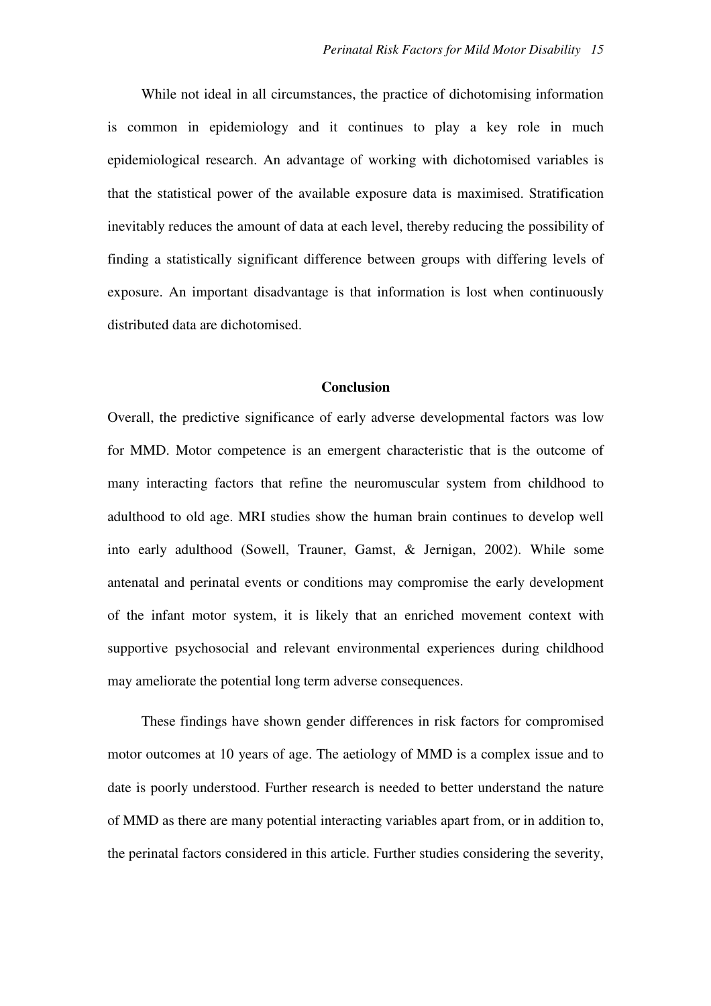While not ideal in all circumstances, the practice of dichotomising information is common in epidemiology and it continues to play a key role in much epidemiological research. An advantage of working with dichotomised variables is that the statistical power of the available exposure data is maximised. Stratification inevitably reduces the amount of data at each level, thereby reducing the possibility of finding a statistically significant difference between groups with differing levels of exposure. An important disadvantage is that information is lost when continuously distributed data are dichotomised.

#### **Conclusion**

Overall, the predictive significance of early adverse developmental factors was low for MMD. Motor competence is an emergent characteristic that is the outcome of many interacting factors that refine the neuromuscular system from childhood to adulthood to old age. MRI studies show the human brain continues to develop well into early adulthood (Sowell, Trauner, Gamst, & Jernigan, 2002). While some antenatal and perinatal events or conditions may compromise the early development of the infant motor system, it is likely that an enriched movement context with supportive psychosocial and relevant environmental experiences during childhood may ameliorate the potential long term adverse consequences.

These findings have shown gender differences in risk factors for compromised motor outcomes at 10 years of age. The aetiology of MMD is a complex issue and to date is poorly understood. Further research is needed to better understand the nature of MMD as there are many potential interacting variables apart from, or in addition to, the perinatal factors considered in this article. Further studies considering the severity,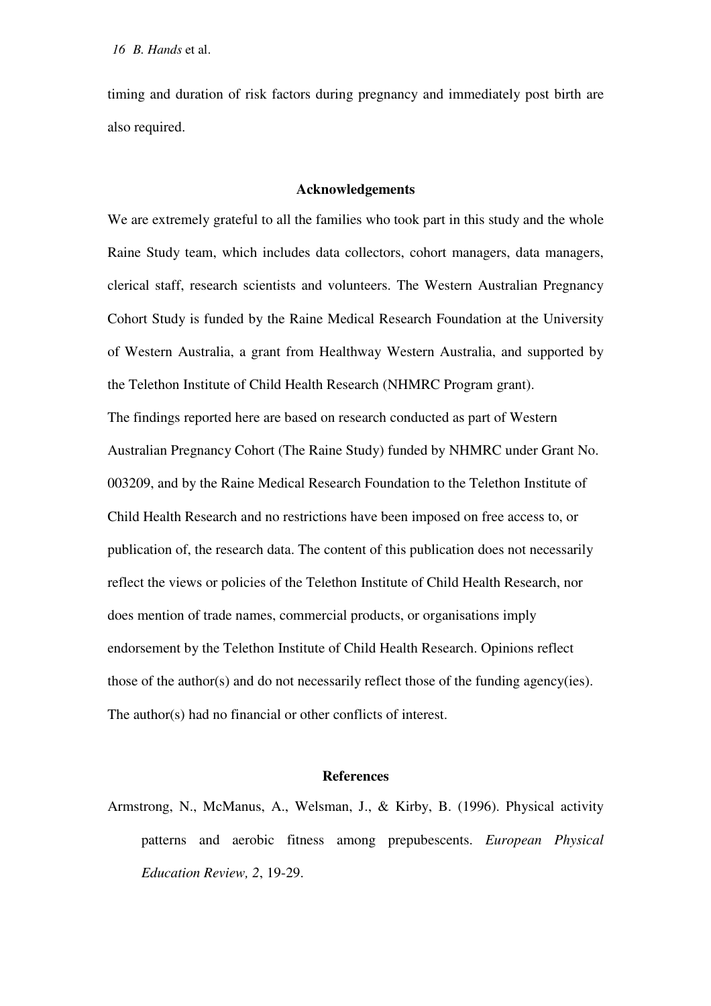timing and duration of risk factors during pregnancy and immediately post birth are also required.

#### **Acknowledgements**

We are extremely grateful to all the families who took part in this study and the whole Raine Study team, which includes data collectors, cohort managers, data managers, clerical staff, research scientists and volunteers. The Western Australian Pregnancy Cohort Study is funded by the Raine Medical Research Foundation at the University of Western Australia, a grant from Healthway Western Australia, and supported by the Telethon Institute of Child Health Research (NHMRC Program grant). The findings reported here are based on research conducted as part of Western Australian Pregnancy Cohort (The Raine Study) funded by NHMRC under Grant No. 003209, and by the Raine Medical Research Foundation to the Telethon Institute of Child Health Research and no restrictions have been imposed on free access to, or publication of, the research data. The content of this publication does not necessarily reflect the views or policies of the Telethon Institute of Child Health Research, nor does mention of trade names, commercial products, or organisations imply endorsement by the Telethon Institute of Child Health Research. Opinions reflect those of the author(s) and do not necessarily reflect those of the funding agency(ies). The author(s) had no financial or other conflicts of interest.

#### **References**

Armstrong, N., McManus, A., Welsman, J., & Kirby, B. (1996). Physical activity patterns and aerobic fitness among prepubescents. *European Physical Education Review, 2*, 19-29.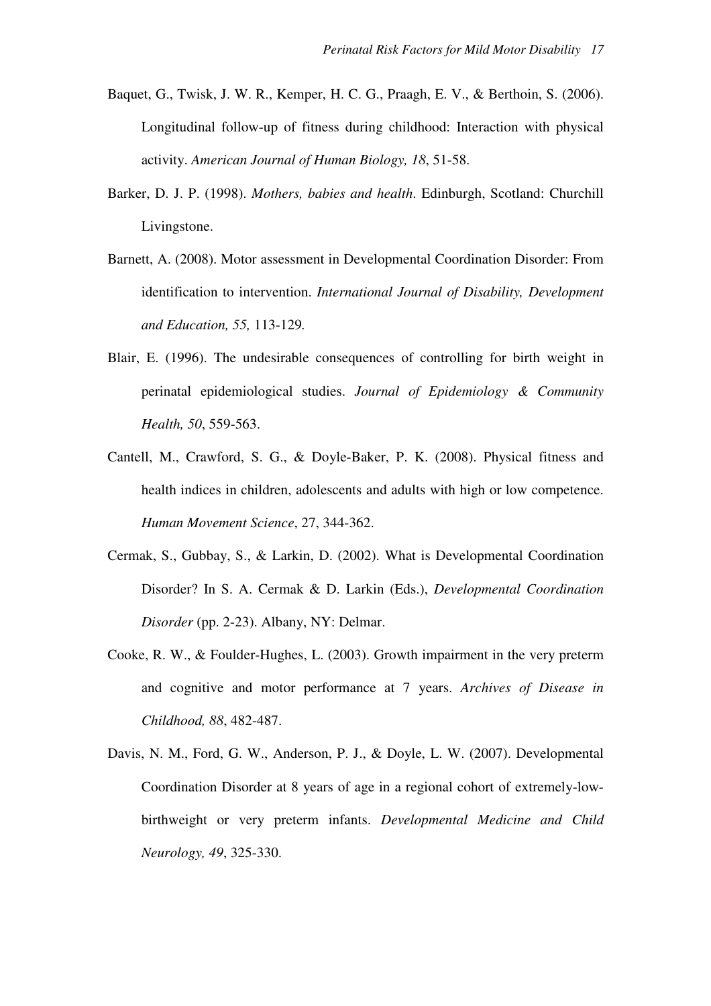- Baquet, G., Twisk, J. W. R., Kemper, H. C. G., Praagh, E. V., & Berthoin, S. (2006). Longitudinal follow-up of fitness during childhood: Interaction with physical activity. *American Journal of Human Biology, 18*, 51-58.
- Barker, D. J. P. (1998). *Mothers, babies and health*. Edinburgh, Scotland: Churchill Livingstone.
- Barnett, A. (2008). Motor assessment in Developmental Coordination Disorder: From identification to intervention. *International Journal of Disability, Development and Education, 55,* 113-129*.*
- Blair, E. (1996). The undesirable consequences of controlling for birth weight in perinatal epidemiological studies. *Journal of Epidemiology & Community Health, 50*, 559-563.
- Cantell, M., Crawford, S. G., & Doyle-Baker, P. K. (2008). Physical fitness and health indices in children, adolescents and adults with high or low competence. *Human Movement Science*, 27, 344-362.
- Cermak, S., Gubbay, S., & Larkin, D. (2002). What is Developmental Coordination Disorder? In S. A. Cermak & D. Larkin (Eds.), *Developmental Coordination Disorder* (pp. 2-23). Albany, NY: Delmar.
- Cooke, R. W., & Foulder-Hughes, L. (2003). Growth impairment in the very preterm and cognitive and motor performance at 7 years. *Archives of Disease in Childhood, 88*, 482-487.
- Davis, N. M., Ford, G. W., Anderson, P. J., & Doyle, L. W. (2007). Developmental Coordination Disorder at 8 years of age in a regional cohort of extremely-lowbirthweight or very preterm infants. *Developmental Medicine and Child Neurology, 49*, 325-330.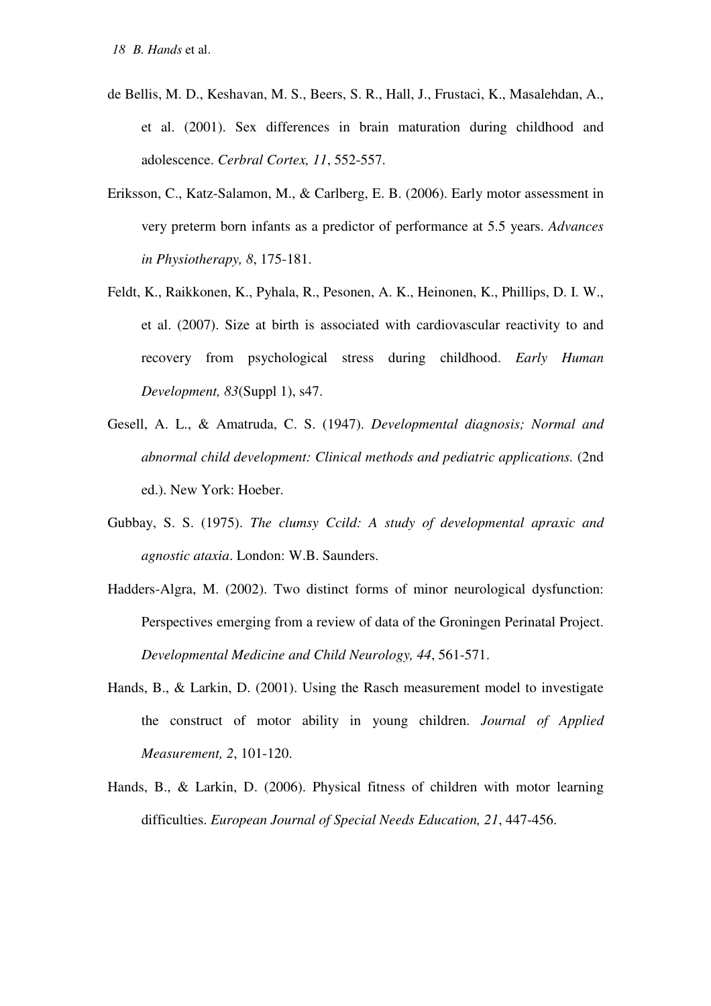- de Bellis, M. D., Keshavan, M. S., Beers, S. R., Hall, J., Frustaci, K., Masalehdan, A., et al. (2001). Sex differences in brain maturation during childhood and adolescence. *Cerbral Cortex, 11*, 552-557.
- Eriksson, C., Katz-Salamon, M., & Carlberg, E. B. (2006). Early motor assessment in very preterm born infants as a predictor of performance at 5.5 years. *Advances in Physiotherapy, 8*, 175-181.
- Feldt, K., Raikkonen, K., Pyhala, R., Pesonen, A. K., Heinonen, K., Phillips, D. I. W., et al. (2007). Size at birth is associated with cardiovascular reactivity to and recovery from psychological stress during childhood. *Early Human Development, 83*(Suppl 1), s47.
- Gesell, A. L., & Amatruda, C. S. (1947). *Developmental diagnosis; Normal and abnormal child development: Clinical methods and pediatric applications.* (2nd ed.). New York: Hoeber.
- Gubbay, S. S. (1975). *The clumsy Ccild: A study of developmental apraxic and agnostic ataxia*. London: W.B. Saunders.
- Hadders-Algra, M. (2002). Two distinct forms of minor neurological dysfunction: Perspectives emerging from a review of data of the Groningen Perinatal Project. *Developmental Medicine and Child Neurology, 44*, 561-571.
- Hands, B., & Larkin, D. (2001). Using the Rasch measurement model to investigate the construct of motor ability in young children. *Journal of Applied Measurement, 2*, 101-120.
- Hands, B., & Larkin, D. (2006). Physical fitness of children with motor learning difficulties. *European Journal of Special Needs Education, 21*, 447-456.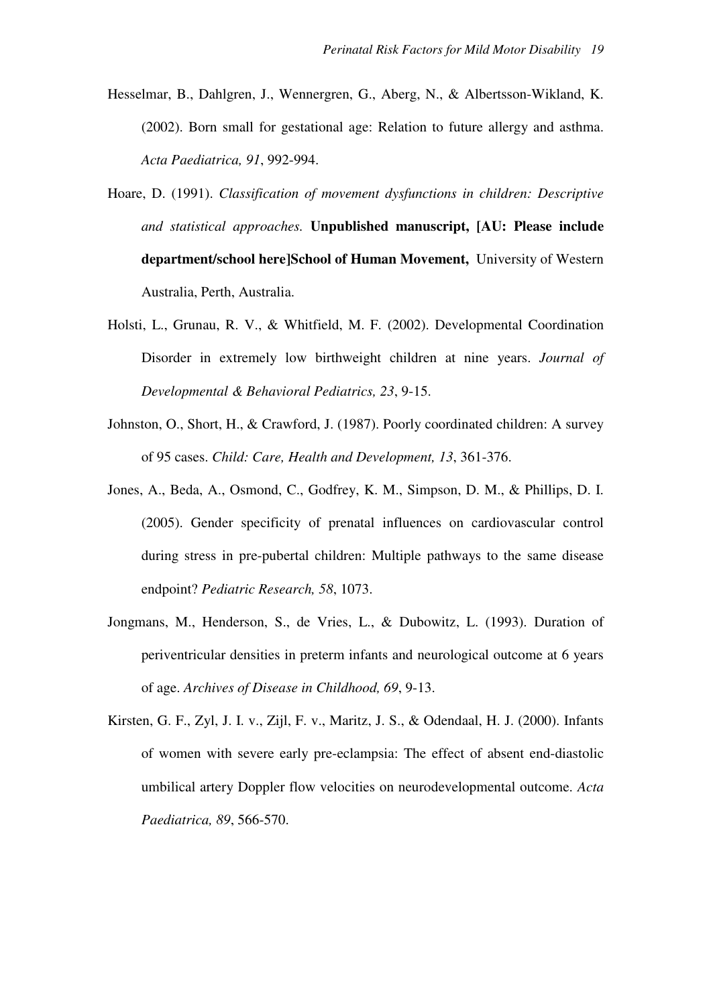- Hesselmar, B., Dahlgren, J., Wennergren, G., Aberg, N., & Albertsson-Wikland, K. (2002). Born small for gestational age: Relation to future allergy and asthma. *Acta Paediatrica, 91*, 992-994.
- Hoare, D. (1991). *Classification of movement dysfunctions in children: Descriptive and statistical approaches.* **Unpublished manuscript, [AU: Please include department/school here]School of Human Movement,** University of Western Australia, Perth, Australia.
- Holsti, L., Grunau, R. V., & Whitfield, M. F. (2002). Developmental Coordination Disorder in extremely low birthweight children at nine years. *Journal of Developmental & Behavioral Pediatrics, 23*, 9-15.
- Johnston, O., Short, H., & Crawford, J. (1987). Poorly coordinated children: A survey of 95 cases. *Child: Care, Health and Development, 13*, 361-376.
- Jones, A., Beda, A., Osmond, C., Godfrey, K. M., Simpson, D. M., & Phillips, D. I. (2005). Gender specificity of prenatal influences on cardiovascular control during stress in pre-pubertal children: Multiple pathways to the same disease endpoint? *Pediatric Research, 58*, 1073.
- Jongmans, M., Henderson, S., de Vries, L., & Dubowitz, L. (1993). Duration of periventricular densities in preterm infants and neurological outcome at 6 years of age. *Archives of Disease in Childhood, 69*, 9-13.
- Kirsten, G. F., Zyl, J. I. v., Zijl, F. v., Maritz, J. S., & Odendaal, H. J. (2000). Infants of women with severe early pre-eclampsia: The effect of absent end-diastolic umbilical artery Doppler flow velocities on neurodevelopmental outcome. *Acta Paediatrica, 89*, 566-570.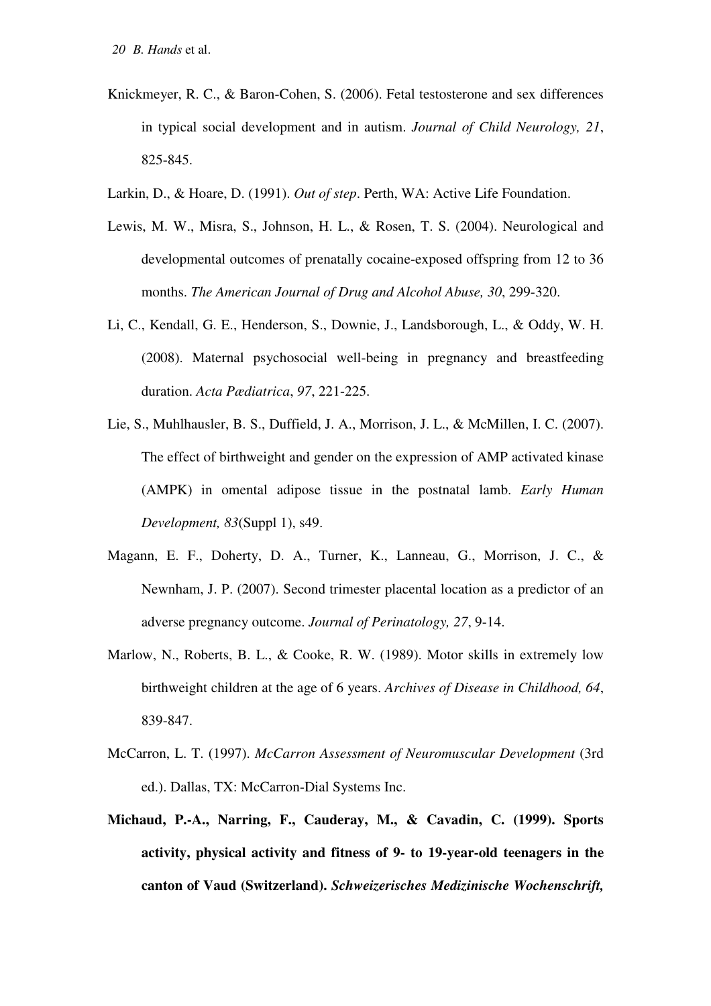- Knickmeyer, R. C., & Baron-Cohen, S. (2006). Fetal testosterone and sex differences in typical social development and in autism. *Journal of Child Neurology, 21*, 825-845.
- Larkin, D., & Hoare, D. (1991). *Out of step*. Perth, WA: Active Life Foundation.
- Lewis, M. W., Misra, S., Johnson, H. L., & Rosen, T. S. (2004). Neurological and developmental outcomes of prenatally cocaine-exposed offspring from 12 to 36 months. *The American Journal of Drug and Alcohol Abuse, 30*, 299-320.
- Li, C., Kendall, G. E., Henderson, S., Downie, J., Landsborough, L., & Oddy, W. H. (2008). Maternal psychosocial well-being in pregnancy and breastfeeding duration. *Acta Pædiatrica*, *97*, 221-225.
- Lie, S., Muhlhausler, B. S., Duffield, J. A., Morrison, J. L., & McMillen, I. C. (2007). The effect of birthweight and gender on the expression of AMP activated kinase (AMPK) in omental adipose tissue in the postnatal lamb. *Early Human Development, 83*(Suppl 1), s49.
- Magann, E. F., Doherty, D. A., Turner, K., Lanneau, G., Morrison, J. C., & Newnham, J. P. (2007). Second trimester placental location as a predictor of an adverse pregnancy outcome. *Journal of Perinatology, 27*, 9-14.
- Marlow, N., Roberts, B. L., & Cooke, R. W. (1989). Motor skills in extremely low birthweight children at the age of 6 years. *Archives of Disease in Childhood, 64*, 839-847.
- McCarron, L. T. (1997). *McCarron Assessment of Neuromuscular Development* (3rd ed.). Dallas, TX: McCarron-Dial Systems Inc.
- **Michaud, P.-A., Narring, F., Cauderay, M., & Cavadin, C. (1999). Sports activity, physical activity and fitness of 9- to 19-year-old teenagers in the canton of Vaud (Switzerland).** *Schweizerisches Medizinische Wochenschrift,*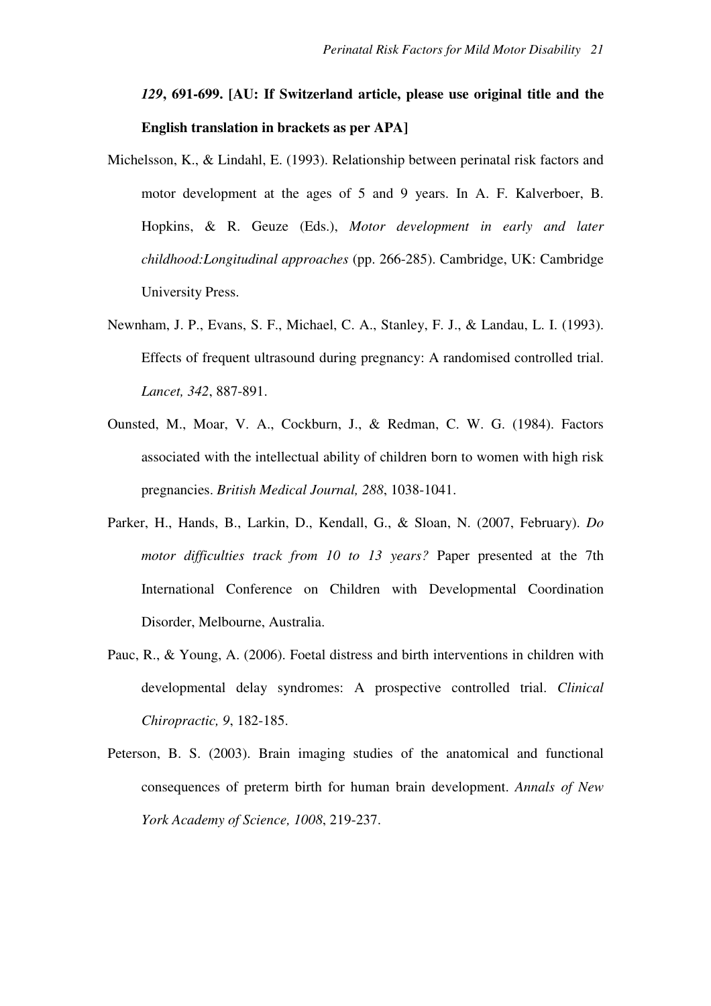## *129***, 691-699. [AU: If Switzerland article, please use original title and the English translation in brackets as per APA]**

- Michelsson, K., & Lindahl, E. (1993). Relationship between perinatal risk factors and motor development at the ages of 5 and 9 years. In A. F. Kalverboer, B. Hopkins, & R. Geuze (Eds.), *Motor development in early and later childhood:Longitudinal approaches* (pp. 266-285). Cambridge, UK: Cambridge University Press.
- Newnham, J. P., Evans, S. F., Michael, C. A., Stanley, F. J., & Landau, L. I. (1993). Effects of frequent ultrasound during pregnancy: A randomised controlled trial. *Lancet, 342*, 887-891.
- Ounsted, M., Moar, V. A., Cockburn, J., & Redman, C. W. G. (1984). Factors associated with the intellectual ability of children born to women with high risk pregnancies. *British Medical Journal, 288*, 1038-1041.
- Parker, H., Hands, B., Larkin, D., Kendall, G., & Sloan, N. (2007, February). *Do motor difficulties track from 10 to 13 years?* Paper presented at the 7th International Conference on Children with Developmental Coordination Disorder, Melbourne, Australia.
- Pauc, R., & Young, A. (2006). Foetal distress and birth interventions in children with developmental delay syndromes: A prospective controlled trial. *Clinical Chiropractic, 9*, 182-185.
- Peterson, B. S. (2003). Brain imaging studies of the anatomical and functional consequences of preterm birth for human brain development. *Annals of New York Academy of Science, 1008*, 219-237.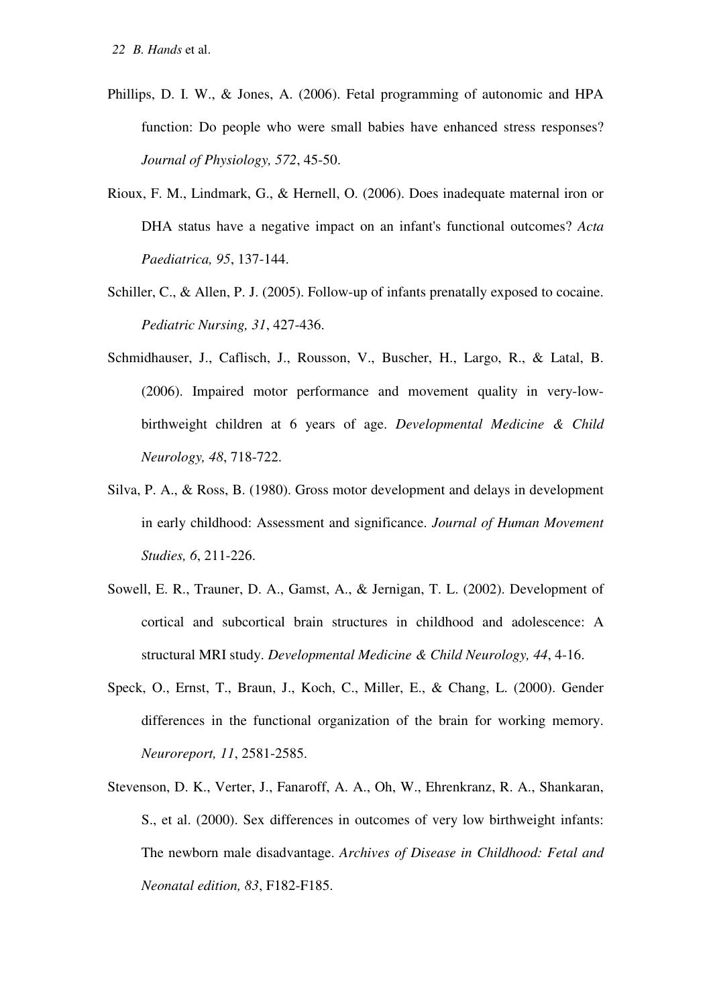- Phillips, D. I. W., & Jones, A. (2006). Fetal programming of autonomic and HPA function: Do people who were small babies have enhanced stress responses? *Journal of Physiology, 572*, 45-50.
- Rioux, F. M., Lindmark, G., & Hernell, O. (2006). Does inadequate maternal iron or DHA status have a negative impact on an infant's functional outcomes? *Acta Paediatrica, 95*, 137-144.
- Schiller, C., & Allen, P. J. (2005). Follow-up of infants prenatally exposed to cocaine. *Pediatric Nursing, 31*, 427-436.
- Schmidhauser, J., Caflisch, J., Rousson, V., Buscher, H., Largo, R., & Latal, B. (2006). Impaired motor performance and movement quality in very-lowbirthweight children at 6 years of age. *Developmental Medicine & Child Neurology, 48*, 718-722.
- Silva, P. A., & Ross, B. (1980). Gross motor development and delays in development in early childhood: Assessment and significance. *Journal of Human Movement Studies, 6*, 211-226.
- Sowell, E. R., Trauner, D. A., Gamst, A., & Jernigan, T. L. (2002). Development of cortical and subcortical brain structures in childhood and adolescence: A structural MRI study. *Developmental Medicine & Child Neurology, 44*, 4-16.
- Speck, O., Ernst, T., Braun, J., Koch, C., Miller, E., & Chang, L. (2000). Gender differences in the functional organization of the brain for working memory. *Neuroreport, 11*, 2581-2585.
- Stevenson, D. K., Verter, J., Fanaroff, A. A., Oh, W., Ehrenkranz, R. A., Shankaran, S., et al. (2000). Sex differences in outcomes of very low birthweight infants: The newborn male disadvantage. *Archives of Disease in Childhood: Fetal and Neonatal edition, 83*, F182-F185.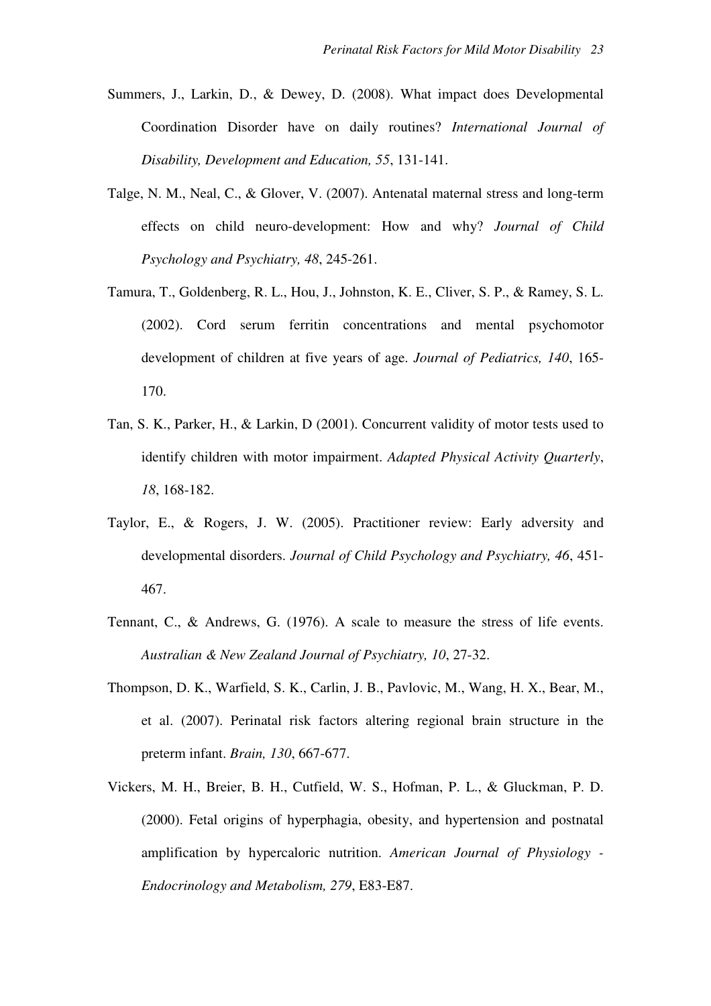- Summers, J., Larkin, D., & Dewey, D. (2008). What impact does Developmental Coordination Disorder have on daily routines? *International Journal of Disability, Development and Education, 55*, 131-141.
- Talge, N. M., Neal, C., & Glover, V. (2007). Antenatal maternal stress and long-term effects on child neuro-development: How and why? *Journal of Child Psychology and Psychiatry, 48*, 245-261.
- Tamura, T., Goldenberg, R. L., Hou, J., Johnston, K. E., Cliver, S. P., & Ramey, S. L. (2002). Cord serum ferritin concentrations and mental psychomotor development of children at five years of age. *Journal of Pediatrics, 140*, 165- 170.
- Tan, S. K., Parker, H., & Larkin, D (2001). Concurrent validity of motor tests used to identify children with motor impairment. *Adapted Physical Activity Quarterly*, *18*, 168-182.
- Taylor, E., & Rogers, J. W. (2005). Practitioner review: Early adversity and developmental disorders. *Journal of Child Psychology and Psychiatry, 46*, 451- 467.
- Tennant, C., & Andrews, G. (1976). A scale to measure the stress of life events. *Australian & New Zealand Journal of Psychiatry, 10*, 27-32.
- Thompson, D. K., Warfield, S. K., Carlin, J. B., Pavlovic, M., Wang, H. X., Bear, M., et al. (2007). Perinatal risk factors altering regional brain structure in the preterm infant. *Brain, 130*, 667-677.
- Vickers, M. H., Breier, B. H., Cutfield, W. S., Hofman, P. L., & Gluckman, P. D. (2000). Fetal origins of hyperphagia, obesity, and hypertension and postnatal amplification by hypercaloric nutrition. *American Journal of Physiology - Endocrinology and Metabolism, 279*, E83-E87.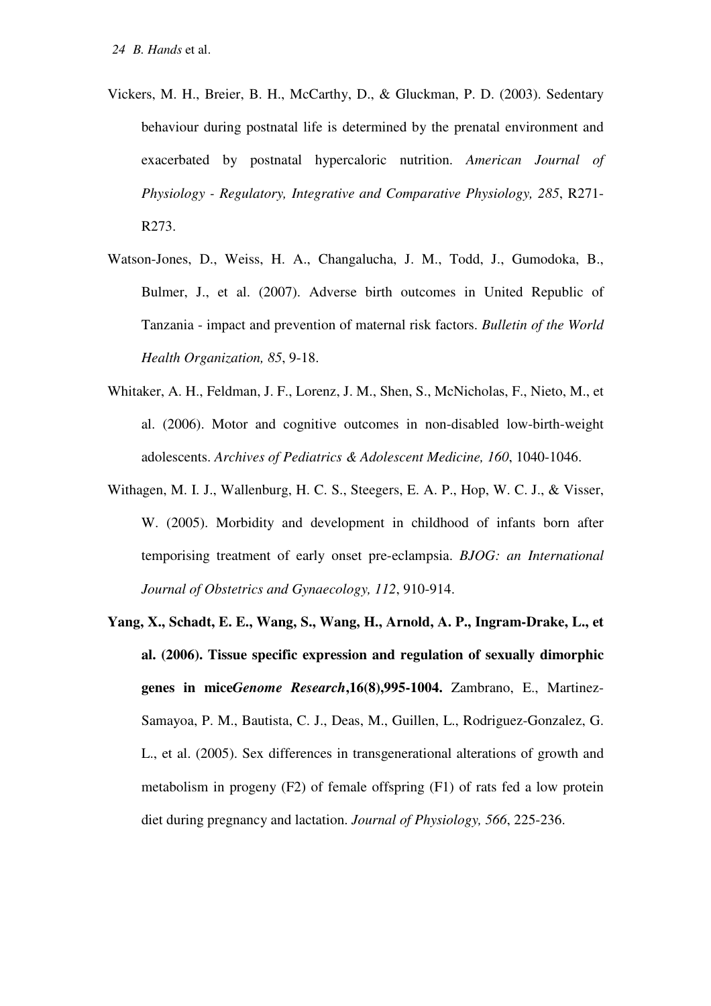- Vickers, M. H., Breier, B. H., McCarthy, D., & Gluckman, P. D. (2003). Sedentary behaviour during postnatal life is determined by the prenatal environment and exacerbated by postnatal hypercaloric nutrition. *American Journal of Physiology - Regulatory, Integrative and Comparative Physiology, 285*, R271- R273.
- Watson-Jones, D., Weiss, H. A., Changalucha, J. M., Todd, J., Gumodoka, B., Bulmer, J., et al. (2007). Adverse birth outcomes in United Republic of Tanzania - impact and prevention of maternal risk factors. *Bulletin of the World Health Organization, 85*, 9-18.
- Whitaker, A. H., Feldman, J. F., Lorenz, J. M., Shen, S., McNicholas, F., Nieto, M., et al. (2006). Motor and cognitive outcomes in non-disabled low-birth-weight adolescents. *Archives of Pediatrics & Adolescent Medicine, 160*, 1040-1046.
- Withagen, M. I. J., Wallenburg, H. C. S., Steegers, E. A. P., Hop, W. C. J., & Visser, W. (2005). Morbidity and development in childhood of infants born after temporising treatment of early onset pre-eclampsia. *BJOG: an International Journal of Obstetrics and Gynaecology, 112*, 910-914.
- **Yang, X., Schadt, E. E., Wang, S., Wang, H., Arnold, A. P., Ingram-Drake, L., et al. (2006). Tissue specific expression and regulation of sexually dimorphic genes in mice***Genome Research***,16(8),995-1004.** Zambrano, E., Martinez-Samayoa, P. M., Bautista, C. J., Deas, M., Guillen, L., Rodriguez-Gonzalez, G. L., et al. (2005). Sex differences in transgenerational alterations of growth and metabolism in progeny (F2) of female offspring (F1) of rats fed a low protein diet during pregnancy and lactation. *Journal of Physiology, 566*, 225-236.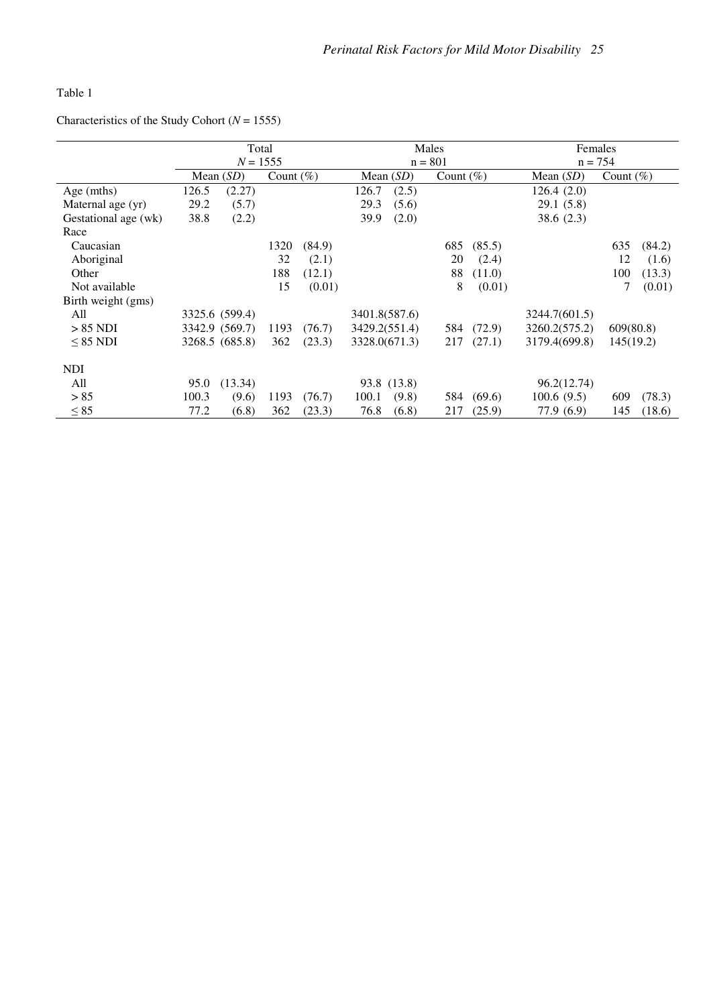Table 1

Characteristics of the Study Cohort (*N* = 1555)

|                      | Total      |                |               |        | Males                       |             |     |             | Females       |              |        |
|----------------------|------------|----------------|---------------|--------|-----------------------------|-------------|-----|-------------|---------------|--------------|--------|
|                      | $N = 1555$ |                |               |        | $n = 801$                   |             |     |             | $n = 754$     |              |        |
|                      |            | Mean $(SD)$    | Count $(\% )$ |        | Mean $(SD)$<br>Count $(\%)$ |             |     | Mean $(SD)$ |               | Count $(\%)$ |        |
| Age (mths)           | 126.5      | (2.27)         |               |        | 126.7                       | (2.5)       |     |             | 126.4(2.0)    |              |        |
| Maternal age (yr)    | 29.2       | (5.7)          |               |        | 29.3                        | (5.6)       |     |             | 29.1(5.8)     |              |        |
| Gestational age (wk) | 38.8       | (2.2)          |               |        | 39.9                        | (2.0)       |     |             | 38.6(2.3)     |              |        |
| Race                 |            |                |               |        |                             |             |     |             |               |              |        |
| Caucasian            |            |                | 1320          | (84.9) |                             |             | 685 | (85.5)      |               | 635          | (84.2) |
| Aboriginal           |            |                | 32            | (2.1)  |                             |             | 20  | (2.4)       |               | 12           | (1.6)  |
| Other                |            |                | 188           | (12.1) |                             |             | 88  | (11.0)      |               | 100          | (13.3) |
| Not available        |            |                | 15            | (0.01) |                             |             | 8   | (0.01)      |               | 7            | (0.01) |
| Birth weight (gms)   |            |                |               |        |                             |             |     |             |               |              |        |
| All                  |            | 3325.6 (599.4) |               |        | 3401.8(587.6)               |             |     |             | 3244.7(601.5) |              |        |
| $> 85$ NDI           |            | 3342.9 (569.7) | 1193          | (76.7) | 3429.2(551.4)               |             | 584 | (72.9)      | 3260.2(575.2) | 609(80.8)    |        |
| $< 85$ NDI           |            | 3268.5 (685.8) | 362           | (23.3) | 3328.0(671.3)               |             | 217 | (27.1)      | 3179.4(699.8) | 145(19.2)    |        |
| <b>NDI</b>           |            |                |               |        |                             |             |     |             |               |              |        |
| All                  | 95.0       | (13.34)        |               |        |                             | 93.8 (13.8) |     |             | 96.2(12.74)   |              |        |
| > 85                 | 100.3      | (9.6)          | 1193          | (76.7) | 100.1                       | (9.8)       | 584 | (69.6)      | 100.6(9.5)    | 609          | (78.3) |
| $\leq 85$            | 77.2       | (6.8)          | 362           | (23.3) | 76.8                        | (6.8)       | 217 | (25.9)      | 77.9 (6.9)    | 145          | (18.6) |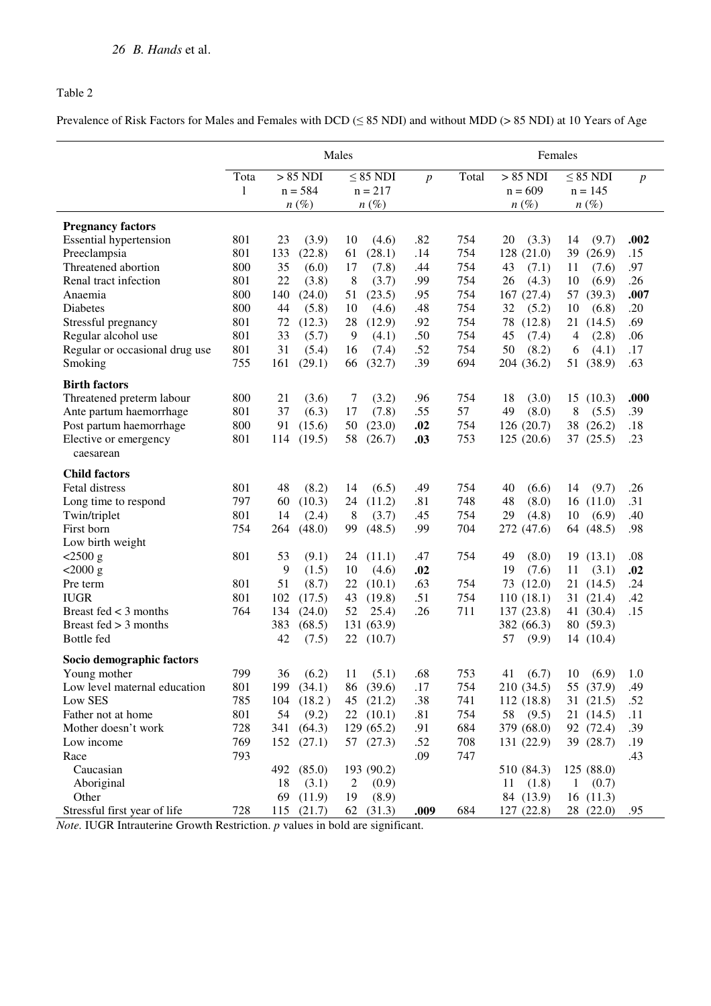#### Table 2

Prevalence of Risk Factors for Males and Females with DCD (≤ 85 NDI) and without MDD (> 85 NDI) at 10 Years of Age

|                                | Males |     |                |                         |                | Females |              |               |                  |
|--------------------------------|-------|-----|----------------|-------------------------|----------------|---------|--------------|---------------|------------------|
|                                | Tota  |     | $> 85$ NDI     | $\leq$ 85 NDI           | $\overline{p}$ | Total   | $> 85$ NDI   | $\leq 85$ NDI | $\boldsymbol{p}$ |
|                                | 1     |     | $n = 584$      | $n = 217$               |                |         | $n = 609$    | $n = 145$     |                  |
|                                |       |     | $n(\%)$        | $n(\%)$                 |                |         | $n(\%)$      | $n(\%)$       |                  |
| <b>Pregnancy factors</b>       |       |     |                |                         |                |         |              |               |                  |
| <b>Essential hypertension</b>  | 801   | 23  | (3.9)          | 10<br>(4.6)             | .82            | 754     | (3.3)<br>20  | 14<br>(9.7)   | .002             |
| Preeclampsia                   | 801   | 133 | (22.8)         | (28.1)<br>61            | .14            | 754     | 128 (21.0)   | 39<br>(26.9)  | .15              |
| Threatened abortion            | 800   | 35  | (6.0)          | 17<br>(7.8)             | .44            | 754     | 43<br>(7.1)  | 11<br>(7.6)   | .97              |
| Renal tract infection          | 801   | 22  | (3.8)          | 8<br>(3.7)              | .99            | 754     | 26<br>(4.3)  | 10<br>(6.9)   | .26              |
| Anaemia                        | 800   | 140 | (24.0)         | 51<br>(23.5)            | .95            | 754     | 167(27.4)    | 57<br>(39.3)  | .007             |
| <b>Diabetes</b>                | 800   | 44  | (5.8)          | (4.6)<br>10             | .48            | 754     | 32<br>(5.2)  | 10<br>(6.8)   | .20              |
| Stressful pregnancy            | 801   | 72  | (12.3)         | 28<br>(12.9)            | .92            | 754     | 78<br>(12.8) | 21<br>(14.5)  | .69              |
| Regular alcohol use            | 801   | 33  | (5.7)          | 9<br>(4.1)              | .50            | 754     | 45<br>(7.4)  | 4<br>(2.8)    | .06              |
| Regular or occasional drug use | 801   | 31  | (5.4)          | 16<br>(7.4)             | .52            | 754     | 50<br>(8.2)  | (4.1)<br>6    | .17              |
| Smoking                        | 755   | 161 | (29.1)         | 66<br>(32.7)            | .39            | 694     | 204 (36.2)   | 51<br>(38.9)  | .63              |
| <b>Birth factors</b>           |       |     |                |                         |                |         |              |               |                  |
| Threatened preterm labour      | 800   | 21  | (3.6)          | (3.2)<br>7              | .96            | 754     | 18<br>(3.0)  | 15<br>(10.3)  | .000             |
| Ante partum haemorrhage        | 801   | 37  | (6.3)          | 17<br>(7.8)             | .55            | 57      | 49<br>(8.0)  | 8<br>(5.5)    | .39              |
| Post partum haemorrhage        | 800   | 91  | (15.6)         | 50<br>(23.0)            | .02            | 754     | 126(20.7)    | 38<br>(26.2)  | .18              |
| Elective or emergency          | 801   | 114 | (19.5)         | 58<br>(26.7)            | .03            | 753     | 125(20.6)    | 37<br>(25.5)  | .23              |
| caesarean                      |       |     |                |                         |                |         |              |               |                  |
| <b>Child factors</b>           |       |     |                |                         |                |         |              |               |                  |
| Fetal distress                 | 801   | 48  | (8.2)          | (6.5)<br>14             | .49            | 754     | 40<br>(6.6)  | (9.7)<br>14   | .26              |
| Long time to respond           | 797   | 60  | (10.3)         | (11.2)<br>24            | .81            | 748     | 48<br>(8.0)  | (11.0)<br>16  | .31              |
| Twin/triplet                   | 801   | 14  | (2.4)          | 8<br>(3.7)              | .45            | 754     | 29<br>(4.8)  | 10<br>(6.9)   | .40              |
| First born                     | 754   | 264 | (48.0)         | (48.5)<br>99            | .99            | 704     | 272 (47.6)   | 64 (48.5)     | .98              |
| Low birth weight               |       |     |                |                         |                |         |              |               |                  |
| $< 2500 \text{ g}$             | 801   | 53  | (9.1)          | 24<br>(11.1)            | .47            | 754     | 49<br>(8.0)  | (13.1)<br>19  | .08              |
| $< 2000 \text{ g}$             |       | 9   | (1.5)          | (4.6)<br>10             | .02            |         | 19<br>(7.6)  | 11<br>(3.1)   | .02              |
| Pre term                       | 801   | 51  | (8.7)          | 22<br>(10.1)            | .63            | 754     | 73 (12.0)    | 21(14.5)      | .24              |
| <b>IUGR</b>                    | 801   | 102 | (17.5)         | 43<br>(19.8)            | .51            | 754     | 110(18.1)    | 31(21.4)      | .42              |
| Breast fed $<$ 3 months        | 764   | 134 | (24.0)         | 25.4)<br>52             | .26            | 711     | 137 (23.8)   | 41 (30.4)     | .15              |
| Breast fed $>$ 3 months        |       | 383 | (68.5)         | 131 (63.9)              |                |         | 382 (66.3)   | 80 (59.3)     |                  |
| Bottle fed                     |       | 42  | (7.5)          | 22<br>(10.7)            |                |         | 57<br>(9.9)  | 14(10.4)      |                  |
| Socio demographic factors      |       |     |                |                         |                |         |              |               |                  |
| Young mother                   | 799   | 36  | (6.2)          | (5.1)<br>11             | .68            | 753     | (6.7)<br>41  | (6.9)<br>10   | 1.0              |
| Low level maternal education   | 801   | 199 | (34.1)         | 86<br>(39.6)            | .17            | 754     | 210 (34.5)   | 55 (37.9)     | .49              |
| Low SES                        | 785   | 104 | (18.2)         | 45<br>(21.2)            | .38            | 741     | 112 (18.8)   | (21.5)<br>31  | .52              |
| Father not at home             | 801   | 54  | (9.2)          | 22(10.1)                | .81            | 754     | 58<br>(9.5)  | 21 (14.5)     | .11              |
| Mother doesn't work            | 728   | 341 | (64.3)         | 129(65.2)               | .91            | 684     | 379 (68.0)   | 92 (72.4)     | .39              |
| Low income                     | 769   | 152 | (27.1)         | 57<br>(27.3)            | .52            | 708     | 131 (22.9)   | 39 (28.7)     | .19              |
| Race                           | 793   |     |                |                         | .09            | 747     |              |               | .43              |
| Caucasian                      |       | 492 | (85.0)         | 193 (90.2)              |                |         | 510 (84.3)   | 125 (88.0)    |                  |
| Aboriginal                     |       | 18  | (3.1)          | $\overline{c}$<br>(0.9) |                |         | (1.8)<br>11  | (0.7)<br>1    |                  |
| Other                          |       | 69  | (11.9)         | 19<br>(8.9)             |                |         | 84 (13.9)    | 16(11.3)      |                  |
| Stressful first year of life   | 728   |     | $115$ $(21.7)$ | 62<br>(31.3)            | .009           | 684     | 127(22.8)    | 28 (22.0)     | .95              |

*Note.* IUGR Intrauterine Growth Restriction. *p* values in bold are significant.